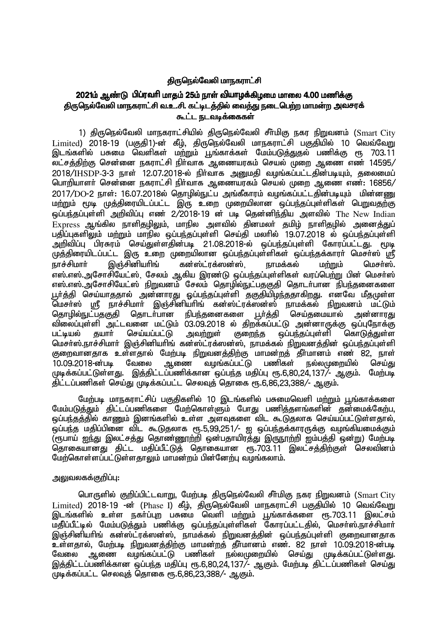# கிருநெல்வேலி மாநகராட்சி

# 2021ம் ஆண்டு பிப்ரவரி மாகம் 25ம் நாள் வியாழக்கிமமை மாலை 4.00 மணிக்கு <u>திருநெ</u>ல்வேலி மாநகராட்சி வ.உ.சி. கட்டிடத்தில் வைத்து நடைபெற்ற மாமன்ற அவசரக் <u>கூட்ட நடவடிக்கைகள்</u>

1) திருநெல்வேலி மாநகராட்சியில் திருநெல்வேலி சீர்மிகு நகர நிறுவனம் (Smart City Limited) 2018-19 (பகுதி1)-ன் கீழ், திருநெல்வேலி மாநகராட்சி பகுதியில் 10 வெவ்வேறு இடங்களில் பசுமை வெளிகள் ம<u>ற்று</u>ம் பூங்காக்கள் மேம்படு<u>க்குக</u>ல் பணிக்கு ரூ 703.11 லட்சத்திற்கு சென்னை நகராட்சி நிர்வாக ஆணையரகம் செயல் முறை ஆணை எண் 14595/  $2018/$ IHSDP-3-3 நாள் 12.07.2018-ல் நிர்வாக அறுமதி வழங்கப்பட்டதின்படியும், தலைமைப் பொரியாளா் சென்னை நகராட்சி நிா்வாக ஆணையரகம் செயல் முறை ஆணை எண்: 16856/  $2017/DO$ -2 நாள்: 16.07.2018ல் தொழில்நுட்ப அங்கீகாரம் வழங்கப்பட்டதின்படியும் மின்னணு மற்றும் மூடி முத்திரையிடப்பட்ட இரு உறை முறையிலான ஒப்பந்தப்புள்ளிகள் பெறுவதற்கு ஒப்பந்தப்புள்ளி அறிவிப்பு எண் 2/2018-19 ன் படி தென்னிந்திய அளவில் The New Indian  $Express$  ஆங்கில நாளிதழிலும், மாநில அளவில் தினமலா் தமிழ் நாளிதழில் அனைத்துப் பதிப்புகளிலும் மற்றும் மாநில ஒப்பந்தப்புள்ளி செய்தி மலரில் 19.07.2018 ல் ஒப்பந்கப்பள்ளி அறிவிப்பு பிரசுரம் செய்துள்ளதின்படி 21.08.2018-ல் ஒப்பந்தப்புள்ளி கோரப்பட்டது. மூடி முத்திரையிடப்பட்ட இரு உறை முறையிலான ஒப்பந்தப்புள்ளிகள் ஒப்பந்தக்காரா் மெசா்ஸ் ஸ்ரீ நாச்சிமார் இஞ்சினியரிங் கன்ஸ்ட்ரக்ஸன்ஸ், நாமக்கல் மற்றும் மெசர்ஸ். எஸ்.எஸ்.அசோசியேட்ஸ், சேலம் ஆகிய இரண்டு ஒப்பந்தப்புள்ளிகள் வரப்பெற்று பின் மெசர்ஸ் எஸ்.எஸ்.அசோசியேட்ஸ் நிறுவனம் சேலம் தொழில்நுட்பதகுதி தொடர்பான நிபந்தனைகளை டா்க்கி செய்யாகுதால் அன்னாரது ஒப்பந்தப்புள்ளி தகுதியிழந்ததாகிறது. எனவே மீதமுள்ள மெசா்ஸ் ஸ்ரீ நாச்சிமாா் இஞ்சினியாிங் கன்ஸ்ட்ரக்ஸன்ஸ் நாமக்கல் நிறுவனம் மட்டும்<br>தொழில்நுட்பதகுதி தொடா்பான நிபந்தனைகளை பூா்த்தி செய்தமையால் அன்னாரது தொடா்பான நிபந்தனைகளை பூா்த்தி செய்தமையால் அன்னாரது விலைப்புள்ளி அட்டவனை மட்டும் 03.09.2018 ல் திறக்கப்பட்டு அன்னாருக்கு ஒப்புநோக்கு<br>பட்டியல் தயாா் செய்யப்பட்டு அவற்றுள் குறைந்த ஒப்பந்தப்புள்ளி கொடுத்துள்ள பட்டியல் தயாா் செய்யப்பட்டு அவ<u>ற்று</u>ள் குறைந்த ஒப்பந்தப்புள்ளி கொடுத்துள்ள மெசா்ஸ்.நாச்சிமாா் இஞ்சினியாிங் கன்ஸ்ட்ரக்ஸன்ஸ், நாமக்கல் நிறுவனத்தின் ஒப்பந்தப்புள்ளி குறைவானதாக உள்ளதால் மேற்படி நிறுவனத்திற்கு மாமன்றத் தீா்மானம் எண் 82, நாள்<br>10.09.2018-ன்படி வேலை ஆணை வழங்கப்பட்டு பணிகள் நல்லமுறையில் செய்து 10.09.2018-ன்படி வேலை ஆணை வழங்கப்பட்டு பணிகள் நல்லமுறையில் செய்து முடிக்கப்பட்டுள்ளது. இத்திட்டப்பணிக்கான ஒப்பந்த மதிப்பு ரூ.6,80,24,137/- ஆகும். மேற்படி ்திட்டப்பணிகள் செய்கு முடிக்கப்பட்ட செலவக் கொகை ரூ.6.86.23.388/- அ.கும்.

மேற்படி மாநகராட்சிப் பகுதிகளில் 10 இடங்களில் பசுமைவெளி மற்றும் பூங்காக்களை மேம்படுத்தும் திட்டப்பணிகளை மேற்கொள்ளும் போது பணித்தளங்களின் தன்மைக்கேற்ப, <u>ஒப்பந்தத்த</u>ில் காணும் இனங்களில் உள்ள அளவுகளை விட கூடுதலாக செய்யப்பட்டுள்ளதால், .<br>ஓப்பந்த மதிப்பினை விட கூடுதலாக ரூ.5.99.251/- ஐ ஒப்பந்தக்காரருக்கு வழங்கியமைக்கும் ,<br>(ரூபாய் ஐந்து இலட்சத்து தொண்ணூற்றி ஒன்பதாயிரத்து இருநூற்றி ஐம்பத்தி ஒன்று) மேற்படி ்தொகையானது திட்ட மதிப்பீட்டுத் தொகையான ரூ.703.11 இலட்சத்திற்குள் செலவினம் மேற்கொள்ளப்பட்டுள்ளதாலும் மாமன்றம் பின்னேற்பு வழங்கலாம்.

## அலுவலகக்கு**றிப்பு**:

பொருளில் குறிப்பிட்டவாறு, மேற்படி திருநெல்வேலி சீர்மிகு நகர நிறுவனம் (Smart City  $Limited$ ) 2018-19 -ன் (Phase I) கீழ், திருநெல்வேலி மாநகராட்சி பகுதியில் 10 வெவ்வேறு இடங்களில் உள்ள நகர்ப்புற பசுமை வெளி மற்றும் பூங்காக்களை ரூ.703.11 இலட்சம் மதி்ப்பீட்டில் மேம்படுத்தும் பணிக்கு ஒப்பந்தப்புள்ளிகள் கோரப்பட்டதில், மெசர்ஸ்.நாச்சிமார் இஞ்சினியரிங் கன்ஸ்ட்ரக்ஸன்ஸ், நாமக்கல் <u>நிறுவனத்த</u>ின் ஒப்பந்தப்புள்ளி குறைவானதாக உள்ளதால், மேற்படி நிறுவனத்திற்கு மாமன்றத் தீர்மானம் எண். 82 நாள் 10.09.2018-ன்படி<br>வேலை அணை வமங்கப்பட்டு பணிகள் நல்லமுறையில் செய்கு முக்கப்பட்டுள்ளது. ்ஆணை வழங்கப்பட்டு பணிகள் நல்லமுறையில் செய்து முடிக்கப்பட்டுள்ளது. இத்திட்டப்பணிக்கான ஒப்பந்த மதிப்பு ரூ.6,80,24,137/- ஆகும். மேற்படி திட்டப்பணிகள் செய்து  $\mu$ ழடிக்கப்பட்ட செலவுத் தொகை ரூ.6,86,23,388/- ஆகும்.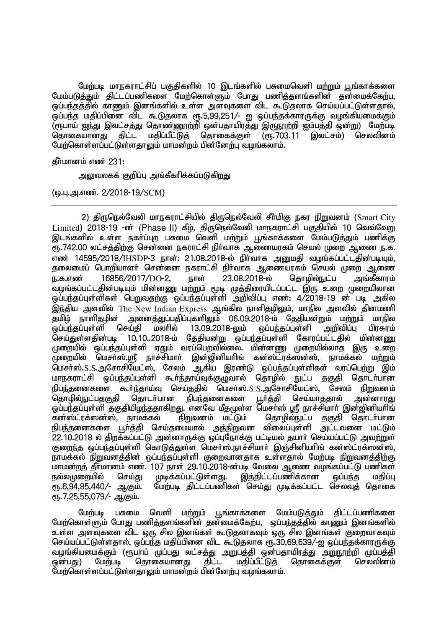மேற்படி மாநகராட்சிப் பகுதிகளில் 10 இடங்களில் பசுமைவெளி மற்றும் பூங்காக்களை மேம்படுத்தும் திட்டப்பணிகளை மேற்கொள்ளும் போது பணித்தளங்களின் தன்மைக்கேற்ப, <u>ஒப்பந்தத்த</u>ில் காணும் இனங்களில் உள்ள அளவுகளை விட கூடுதலாக செய்யப்பட்டுள்ளதால், ஒப்பந்த மதிப்பினை விட கூடுதலாக ரூ.5,99,251/- ஐ ஒப்பந்தக்காரருக்கு வழங்கியமைக்கும் ,<br>(ரூபாய் ஐந்து இலட்சத்து தொண்ணூற்றி ஒன்பதாயிரத்து இருநூற்றி ஐம்பத்தி ஒன்று) மேற்படி<br>தொகையானது திட்ட மதிப்பீட்டுத் தொகைக்குள் (ரூ.703.11 இலட்சம்) செலவினம் மகிப்பீட்டுக் கொகைக்குள் மேற்கொள்ளப்பட்டுள்ளதாலும் மாமன்றம் பின்னேற்பு வழங்கலாம்.

தீர்மானம் எண் $231:$ 

அலுவலகக் குறிப்பு அங்கீகரிக்கப்படுகிறது

(டை.அ.எண். 2/2018-19/SCM)

2) திருநெல்வேலி மாநகராட்சியில் திருநெல்வேலி சீர்மிகு நகர நிறுவனம் (Smart City  $Limited$ ) 2018-19 -ன் (Phase II) கீழ், திருநெல்வேலி மாநகராட்சி பகுதியில் 10 வெவ்வேறு <u>இடங்களில் உள்ள நகர்ப்புற</u> பசுமை வெளி ம<u>ற்று</u>ம் பூங்காக்களை மேம்படுத்தும் பணிக்கு ரு. 742.00 லட்சத்திற்கு சென்னை நகராட்சி நிர்வாக ஆணையரகம் செயல் முறை ஆணை ந.க. எண் 14595/2018/IHSDP-3 நாள்: 21.08.2018-ல் நிர்வாக அனுமதி வழங்கப்பட்டதின்படியும், ் தலைமைப் பொரியாளர் சென்னை நகராட்சி நிர்வாக ஆணையரகம் செயல் முறை ஆணை <u>ந.க.எண்</u> 16856/2017/DO-2. நாள் 23.08.2018-ல் தொழில்நுட்ப அங்கீகாரம் வழங்கப்பட்டதின்படியும் மின்னணு மற்றும் மூடி முத்திரையிடப்பட்ட இரு உறை முறையிலான <u>ஒ</u>ப்பந்தப்புள்ளிகள் பெறுவதற்கு ஒப்பந்தப்புள்ளி அறிவிப்பு எண்: 4/2018-19 ன் படி அகில இந்திய அளவில் The New Indian Express ஆங்கில நாளிதழிலும், மாநில அளவில் தினமணி<br>தமிழ் நாளிதமின் அனைத்துப்பதிப்புகளிலும் 06.09.2018-ம் தேதியன்றும் மற்றும் மாநில அனைத்துப்பதிப்புகளிலும் 06.09.2018-ம் தேதியன்றும் மற்றும் மாநில<br>rய்தி மலாில் 13.09.2018-லும் ஒப்பந்தப்புள்ளி அறிவிப்பு பிரசுரம் <u>ஒ</u>ப்பந்தப்புள்ளி செய்தி மலரில் 13.09.2018-லும் ஒப்பந்தப்புள்ளி அறிவிப்பு பிரசுரம் செய்துள்ளதின்படி 10.10..2018-ம் தேதியன்று ஒப்பந்தப்புள்ளி கோரப்பட்டதில் மின்னணு முறையில் ஒப்பந்தப்புள்ளி ஏதும் வரப்பெறவில்லை. மின்னணு முறையில்லாத இரு உறை ் முறையில் மெசர்ஸ்.ம $\mathbf{f}_i$  நாச்சிமார் இன்றினியரிங் கன்ஸ்ட்ரக்ஸன்ஸ், நாமக்கல் மற்றும் மெசர்ஸ்.S.S.அசோசியேட்ஸ், சேலம் ஆகிய இரண்டு ஒப்பந்தப்புள்ளிகள் வரப்பெற்று இம் மாநகராட்சி ஒப்பந்தப்புள்ளி கூா்ந்தாய்வுக்குழுவால் தொழில் நுட்ப தகுதி தொடா்பான நிபந்தனைகளை கூர்ந்தாய்வு செய்ததில் மெசர்ஸ்.S.S.அசோசியேட்ஸ், சேலம் நிறுவனம்<br>தொழில்நுட்பதகுதி தொடர்பான நிபந்தனைகளை பூர்த்தி செய்யாததால் அன்னாரது கொமில்நுட்பகுகுதி ஓப்பந்தப்புள்ளி தகுதியிழந்ததாகிறது. எனவே மீதமுள்ள மெசா்ஸ் ஸ்ரீ நாச்சிமாா் இன்ஜினியாிங்<br>கன்ஸ்ட்ரக்ஸன்ஸ், நாமக்கல் நிறுவனம் மட்டும் தொழில்நுட்ப தகுதி தொடா்பான தொழில்நுட்ப தகுதி தொடர்பான நிபந்தனைகளை பூர்த்தி செய்தமையால் அந்நிறுவன விலைப்புள்ளி அட்டவனை மட்டும் 22.10.2018 ல் திறக்கப்பட்டு அன்னாருக்கு ஒப்புநோக்கு பட்டியல் தயார் செய்யப்பட்டு அவற்றுள் குறைந்த ஒப்பந்தப்புள்ளி கொடுத்துள்ள மெசர்ஸ்.நாச்சிமார் இஞ்சினியரிங் கன்ஸ்ட்ரக்ஸன்ஸ், நாமக்கல் நிறுவனத்தின் ஒப்பந்தப்புள்ளி குறைவானதாக உள்ளதால் மேற்படி நிறுவனத்திற்கு மாமன்றத் தீா்மானம் எண். 107 நாள் 29.10.2018-ன்படி வேலை ஆணை வழங்கப்பட்டு பணிகள்<br>நல்லமுறையில் செய்து முடிக்கப்பட்டுள்ளது. இத்திட்டப்பணிக்கான ஒப்பந்த மதிப்பு நல்லமுறையில் செய்து முடிக்கப்பட்டுள்ளது.<br>ரூ.6,94,85,440/- ஆகும். மேற்படி கிட்டப்பணிகள் மேற்படி திட்டப்பணிகள் செய்து முடிக்கப்பட்ட செலவுக் தொகை ரு. 7,25,55,079/- ஆகும்.

மேற்படி பசுமை வெளி மற்றும் பூங்காக்களை மேம்படுத்தும் திட்டப்பணிகளை மேற்கொள்ளும் போது பணித்தளங்களின் தன்மைக்கேற்ப, ஒப்பந்தத்தில் காணும் இனங்களில் உள்ள அளவுகளை விட ஒரு சில இனங்கள் கூடுதலாகவும் ஒரு சில இனங்கள் குறைவாகவும் செய்யப்பட்டுள்ளதால், ஒப்பந்த மதிப்பினை விட கூடுதலாக ரூ.30,69,639/-ஐ ஒப்பந்தக்காரருக்கு வழங்கியமைக்கும் (ரூபாய் முப்பது லட்சத்து அறுபத்தி ஒன்பதாயிரத்து அறுநூற்றி முப்பத்தி<br>ஒன்பது) மேற்படி தொகையானது திட்ட மதிப்பீட்டுத் தொகைக்குள் செலவினம்  $\widehat{\mathsf{agmit}}$  ) மேற்படி தொகையானது மேற்கொள்ளப்பட்டுள்ளகாலும் மாமன்றம் பின்னேற்பு வழங்கலாம்.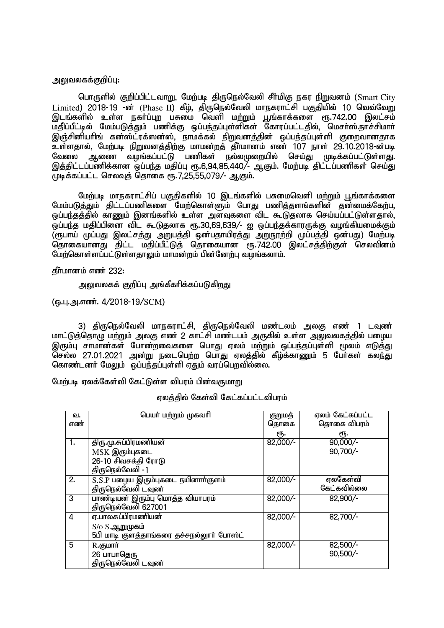#### அலுவலகக்குறிப்பு:

பொருளில் குறிப்பிட்டவாறு, மேற்படி திருநெல்வேலி சீர்மிகு நகர நிறுவனம் (Smart City  $L$ imited) 2018-19 - $\vec{m}$  (Phase II) கீழ், திருநெல்வேலி மாநகராட்சி பகுதியில் 10 வெவ்வேறு டாமை, உர்ச் கார்ப்படை, சுத், தகு கதிரம் புரங்காக்களை ரூ.742.00 இலட்சம்<br>இடங்களில் உள்ள நகா்ப்புற பசுமை வெளி மற்றும் பூங்காக்களை ரூ.742.00 இலட்சம் .<br>மதிப்பீட்டில் மேம்படுத்தும் பணிக்கு ஒப்பந்தப்புள்ளிகள் கோரப்பட்டதில், மெசா்ஸ்.நாச்சிமாா் இஞ்சினியாிங் கன்ஸ்ட்ரக்ஸன்ஸ், நாமக்கல் நிறுவனக்கின் ஒப்பந்தப்புள்ளி குறைவானதாக உள்ளதால், மேற்படி நிறுவனத்திற்கு மாமன்றத் தீா்மானம் எண் 107 நாள் 29.10.2018-ன்படி<br>வேலை அணை வமங்கப்பட்டு பணிகள் நல்லமுறையில் செய்கு முக்கப்பட்டுள்ளகு. ் ஆணை வழங்கப்பட்டு பணிகள் நல்லமுறையில் செய்து முடிக்கப்பட்டுள்ளது. இத்திட்டப்பணிக்கான ஒப்பந்த மதிப்பு ரூ.6,94,85,440/- ஆகும். மேற்படி திட்டப்பணிகள் செய்து  $\frac{6}{10}$ முக்கப்பட்ட செலவக் கொகை  $\epsilon$ ந. 7.25.55.079/- ஆகும்.

மேற்படி மாநகராட்சிப் பகுதிகளில் 10 இடங்களில் பசுமைவெளி மற்றும் பூங்காக்களை மேம்படுத்தும் திட்டப்பணிகளை மேற்கொள்ளும் போது பணித்தளங்களின் தன்மைக்கேற்ப ஒப்பந்தத்தில் காணும் இனங்களில் உள்ள அளவுகளை விட கூடுதலாக செய்யப்பட்டுள்ளதால், .<br>ஒப்பந்த மதிப்பினை விட கூடுதலாக ரூ.30,69,639/- ஐ ஒப்பந்தக்காரருக்கு வழங்கியமைக்கும் ,<br>(ரூபாய் முப்பது இலட்சத்து அறுபத்தி ஒன்பதாயிரத்து அறுநூற்றி முப்பத்தி ஒன்பது) மேற்படி கொகையானது திட்ட மதிப்பீட்டுக் தொகையான ரூ.742.00 இலட்சத்திற்குள் செலவினம் மேற்கொள்ளப்பட்டுள்ளதாலும் மாமன்றம் பின்னேற்பு வழங்கலாம்.

தீர்மானம் எண் 232:

அலுவலகக் குறிப்பு அங்கீகரிக்கப்படுகிறது

(டைபு.அ.எண். 4/2018-19/SCM)

3) திருநெல்வேலி மாநகராட்சி, திருநெல்வேலி மண்டலம் அலகு எண் 1 டவுண் மாட்டுத்தொழு மற்றும் அலகு எண் 2 காட்சி மண்டபம் அருகில் உள்ள அலுவலகத்தில் பழைய இரும்பு சாமான்கள் போன்றவைகளை பொது ஏலம் மற்றும் ஒப்பந்தப்புள்ளி மூலம் எடுத்து  $\widetilde{\mathsf{Q}}$ சல்ல 27.01.2021 அன்று நடைபெற்ற பொகுபு எலக்கில் கீம்க்காணும் 5 பேர்கள் கலந்து கொண்டனர் மேலும் ஒப்பந்தப்புள்ளி ஏதும் வரப்பொவில்லை.

மேற்படி ஏலக்கேள்வி கேட்டுள்ள விபரம் பின்வருமாறு

எலக்கில் கேள்வி கேட்கப்பட்டவிபாம்

| வ.  | பெயர் மற்றும் முகவரி                      | குறுமத்  | ஏலம் கேட்கப்பட்ட |
|-----|-------------------------------------------|----------|------------------|
| எண் |                                           | தொகை     | தொகை விபரம்      |
|     |                                           | ரூ.      | ரூ.              |
| 1.  | திரு.மு.சுப்பிரமணியன்                     | 82,000/- | $90,000/-$       |
|     | MSK இரும்புகடை                            |          | 90,700/-         |
|     | 26-10 சிவசக்தி ரோடு                       |          |                  |
|     | திருநெல்வேலி -1                           |          |                  |
| 2.  | S.S.P பழைய இரும்புகடை நயினாா்குளம்        | 82,000/- | ஏலகேள்வி         |
|     | திருநெல்வேலி டவுண்                        |          | கேட்கவில்லை      |
| 3   | பாண்டியன் இரும்பு மொத்த வியாபரம்          | 82,000/- | 82,900/-         |
|     | திருநெல்வேலி 627001                       |          |                  |
| 4   | ஏ.பாலசுப்பிரமணியன்                        | 82,000/- | 82,700/-         |
|     | $S/\sigma S$ .ஆறுமுகம்                    |          |                  |
|     | 5பி மாடி குளத்தாங்கரை தச்சநல்லுார் போஸ்ட் |          |                  |
| 5   | R குமார்                                  | 82,000/- | 82,500/-         |
|     | 26 பாபாதெரு                               |          | 90,500/-         |
|     | திருநெல்வேலி டவுண்                        |          |                  |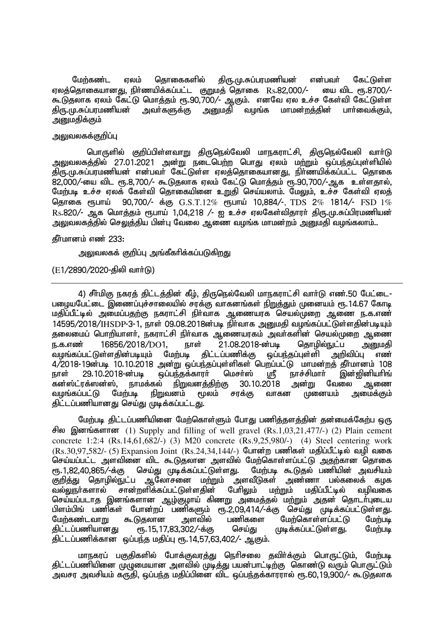மேற்கண்ட ஏலம் தொகைகளில் திரு.மு.சுப்பரமணியன் என்பவர் கேட்டுள்ள ஏலத்தொகையானது, நிர்ணயிக்கப்பட்ட குறுமத் தொகை  $\rm\,Rs.82,000/-$  யை விட ரூ.8700/-கூடுதலாக ஏலம் கேட்டு மொத்தம் ரூ.90,700⁄- ஆகும். எனவே ஏல உச்ச கேள்வி கேட்டுள்ள<br>திரு.மு.சுப்பரமணியன் அவர்களுக்கு அனுமதி வழங்க மாமன்றத்தின் பார்வைக்கும், ்<u>அ</u>றுமதி வமங்க மாமன்றத்தின் பாா்வைக்கும். அனுமகிக்கும்

## ு லுவலகக்கு**றிப்பு**

பொருளில் குறிப்பிள்ளவாறு கிருநெல்வேலி மாநகராட்சி, கிருநெல்வேலி வார்டு <u>அலுவலகத்தில் 27.01.2021 அன்று நடைபெற்ற</u> பொது ஏலம் மற்றும் ஒப்பந்தப்புள்ளியில் திரு.மு.சுப்பரமணியன் என்பவர் கேட்டுள்ள ஏலத்தொகையானது, நிர்ணயிக்கப்பட்ட தொகை 82,000/-யை விட ரூ.8,700/- கூடுதலாக ஏலம் கேட்டு மொத்தம் ரூ.90,700/-ஆக உள்ளதால், மேற்படி உச்ச ஏலக் கேள்வி தொகையினை உறுதி செய்யலாம். மேலும், உச்ச கேள்வி ஏலத்<br>கொகை ரூபாய் 90.700/- க்கு G.S.T.12% ரூபாய் 10.884/-. TDS 2% 1814/- FSD 1%  $190,700/$ - க்கு  $G.S.T.12\%$  ரூபாய் 10,884/-, TDS 2% 1814/- FSD 1%  $Rs.820/$ - ஆக மொத்தம் ரூபாய் 1,04,218 /- ஐ உச்ச ஏலகேள்விதாரா் திரு.மு.சுப்பிரமணியன் அலுவலகத்தில் செலுத்திய பின்பு வேலை ஆணை வழங்க மாமன்றம் அனுமதி வழங்கலாம்..

கீர்மானம் எண் 233:

அலுவலகக் குறிப்பு அங்கீகரிக்கப்படுகிறது

 $(E1/2890/2020$ -கிலி வார்(டு)

4) சீர்மிகு நகரத் திட்டத்தின் கீழ், திருநெல்வேலி மாநகராட்சி வார்டு எண்.50 பேட்டை-பழையபேட்டை இணைப்புச்சாலையில் சரக்கு வாகனங்கள் நிறுத்தும் முனையம் ரூ.14.67 கோடி மதிப்பீட்டில் அமைப்பதற்கு நகராட்சி நிர்வாக ஆணையரக செயல்முறை ஆணை ந.க.எண்  $14595/2018/I$ HSDP-3-1. நாள் 09.08.2018ன்படி நிர்வாக அமைகி வமங்கப்பட்டுள்ளகின்படியம் தலைமைப் பொறியாளர், நகராட்சி நிர்வாக ஆணையரகம் அவர்களின் செயல்முறை ஆணை ந.க.எண் 16856/2018/DO1, நாள் 21.08.2018-ன்படி தொழில்நுட்ப அனுமதி<br>வழங்கப்பட்டுள்ளதின்படியும் மேற்படி திட்டப்பணிக்கு ஒப்பந்தப்புள்ளி அறிவிப்பு எண் வழங்கப்பட்டுள்ளகின்படியும் மேற்படி கிட்டப்பணிக்கு ஒப்பந்தப்புள்ளி அறிவிப்பு எண் 4/2018-19d;gb 10.10.2018 md;W xg;ge;jg;Gs;spfs; ngwg;gl;L khkd;wj; jPh;khdk; 108 நாள் 29.10.2018-ன்படி ஒப்பந்தக்காரர் மெசர்ஸ் ஸ்ரீ நாச்சிமார் இன்<br>கன்ஸ்ட்ரக்ஸன்ஸ், நாமக்கல் <u>நிறு</u>வன<u>த்திற்கு</u> 30.10.2018 அன்று வேலை நாமக்கல் நிறுவனத்திற்கு 30.10.2018 அன்று வேலை ஆணை<br>படி நிறுவனம் மூலம் சரக்கு வாகன முனையம் அமைக்கும் வழங்கப்பட்டு மேற்படி நிறுவனம் மூலம் சரக்கு வாகன முனையம் திட்டப்பணியானது செய்து முடிக்கப்பட்டது.

மேற்படி திட்டப்பணியினை மேற்கொள்ளும் போது பணித்தளத்தின் தன்மைக்கேற்ப ஒரு சில இனங்களான (1) Supply and filling of well gravel  $(Rs.1,03,21,477/)$  (2) Plain cement concrete 1:2:4 (Rs.14,61,682/-) (3) M20 concrete (Rs.9,25,980/-) (4) Steel centering work  $(Rs.30,97,582/- (5)$  Expansion Joint  $(Rs.24,34,144/-)$  போன்ற பணிகள் மதிப்பீட்டில் வழி வகை ்செய்யப்பட்ட அளவினை விட கூடுதலான அளவில் மேற்கொள்ளப்பட்டு அதற்கான தொகை<br>ரூ.1.82.40.865/-க்கு செய்து முடிக்கப்பட்டுள்ளது. மேற்படி கூடுகல் பணியின் அவசியம் ரூ.1,82,40,865.⁄-க்கு செய்து முடிக்கப்பட்டுள்ளது. மேற்படி கூடுதல் பணியின் அவசியம்<br>குறித்து தொழில்நுட்ப ஆலோசனை மற்றும் அளவீடுகள் அண்ணா பல்கலைக் கழக குறித்து தொழில்நுட்ப ஆலோசனை மற்றும் அளவீடுகள் அண்ணா பல்கலைக் கழக<br>வல்லாா்களால் சான்றளிக்கப்பட்டுள்ளகின் பேரிலும் மற்றும் மகிப்பீட்டில் வமிவகை சான்றளிக்கப்பட்டுள்ளகின் செய்யப்படாத இனங்களான ஆம்குமாய் கிணறு அமைத்தல் மற்றும் அதன் தொடர்புடைய பிளம்பிங் பணிகள் போன்றப் பணிகளும் ரூ.2,09,414/-க்கு செய்து முடிக்கப்பட்டுள்ளது.<br>மேற்கண்டவாறு கூடுதலான அளவில் பணிகளை மேற்கொள்ளப்பட்டு மேற்படி மேற்கண்டவாறு கூடுதலான அளவில் பணிகளை மேற்கொள்ளப்பட்டு மேற்படி<br>திட்டப்பணியானது ரூ.15,17,83,302/-க்கு செய்து முடிக்கப்பட்டுள்ளது. மேற்படி ரு.15,17,83,302/-க்கு திட்டப்பணிக்கான ஒப்பந்த மதிப்பு ரூ.14,57,63,402/- ஆகும்.

மாநகரப் பகுதிகளில் போக்குவரத்து நெரிசலை தவிர்க்கும் பொருட்டும், மேற்படி திட்டப்பணியினை முழுமையான அளவில் முடித்து பயன்பாட்டிற்கு கொண்டு வரும் பொருட்டும் அவசர அவசியம் கருதி, ஒப்பந்த மதிப்பினை விட ஒப்பந்தக்காரரால் ரூ.60,19,900/- கூடுதலாக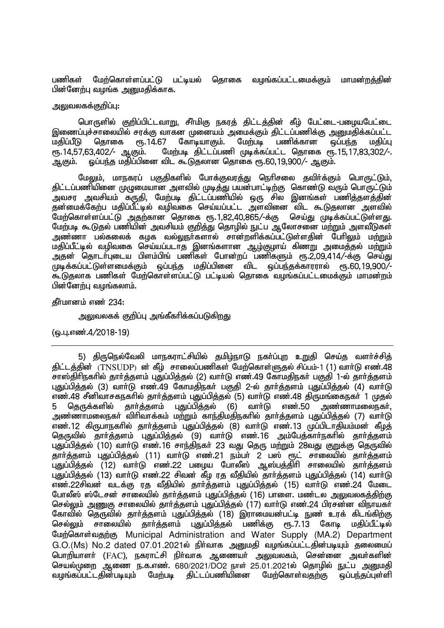பணிகள் மேற்கொள்ளப்பட்டு பட்டியல் தொகை வழங்கப்பட்டமைக்கும் மாமன்றத்தின் பின்னேற்பு வழங்க அறுமகிக்காக.

## அலுவலகக்குறிப்பு:

பொருளில் குறிப்பிட்டவாறு, சீர்மிகு நகரத் திட்டத்தின் கீழ் பேட்டை-பழையபேட்டை இணைப்புச்சாலையில் சரக்கு வாகன முனையம் அமைக்கும் திட்டப்பணிக்கு அனுமதிக்கப்பட்ட மதிப்பீடு தொகை ரூ.14.67 கோடியாகும். மேற்படி பணிக்கான ஒப்பந்த மதிப்பு<br>ரூ.14.57.63.402.⁄- ஆகும். மேற்படி கிட்டப்பணி முடிக்கப்பட்ட கொகை ரூ.15.17.83.302.⁄-.  $\frac{2}{3}$ மேற்படி திட்டப்பணி முடிக்கப்பட்ட தொகை ரூ.15,17,83,302/-. அ.கும். ஒப்பந்த மதிப்பினை விட கூடுதலான தொகை ரூ.60,19,900/- ஆகும்.

மேலும், மாநகரப் பகுகிகளில் போக்குவரக்கு நெரிசலை கவிர்க்கும் பொருட்டும். திட்டப்பணியினை முழுமையான அளவில் முடித்து பயன்பாட்டிற்கு கொண்டு வரும் பொருட்டும் ு<br>அவசர அவசியம் கருதி, மேற்படி திட்டப்பணியில் ஒரு சில இனங்கள் பணித்தளத்தின் தன்மைக்கேற்ப மதிப்பீட்டில் வழிவகை செய்யப்பட்ட அளவினை விட கூடுதலான அளவில் மேற்கொள்ளப்பட்டு அதற்கான தொகை ரூ.1,82,40,865/-க்கு செய்து முடிக்கப்பட்டுள்ளது. மேற்படி கூடுதல் பணியின் அவசியம் குறித்து தொழில் நுட்ப ஆலோசனை மற்றும் அளவீடுகள் ் அண்ணா பல்கலைக் கமக வல்லார்களால் சான்றளிக்கப்பட்டுள்ளகின் பேரிலும் மற்றும் மதிப்பீட்டில் வழிவகை செய்யப்படாத இனங்களான ஆழ்குழாய் கிணறு அமைத்தல் மற்றும் அதன் தொடர்புடைய பிளம்பிங் பணிகள் போன்றப் பணிகளும் ரூ.2,09,414/-க்கு செய்து  $\overline{\phantom{a}}$ மடிக்கப்பட்டுள்ளமைக்கும் ஒப்பந்த மதிப்பினை விட ஒப்பந்தக்காரரால் ரூ.60,19,900/-கூடுகலாக பணிகள் மேற்கொள்ளப்பட்டு பட்டியல் கொகை வழங்கப்பட்டமைக்கும் மாமன்றம் பின்னேற்பு வழங்கலாம்.

கீர்மானம் எண் $234$ :

<u>அலுவலகக் குறிப்பு அங்கீகரிக்கப்படுகிறது</u>

(டைபு.எண்.4/2018-19)

5) திருநெல்வேலி மாநகராட்சியில் தமிழ்நாடு நகர்ப்புற உறுதி செய்த வளர்ச்சித் கிட்டத்தின் (TNSUDP) ன் கீழ் சாலைப்பணிகள் மேற்கொள்ளுகல் சிப்பம்-1 (1) வார்டு எண்.48 சாஸ்திரிநகரில் தார்த்தளம் புதுப்பித்தல் (2) வார்டு எண்.49 கோமதிநகர் பகுதி 1-ல் தார்த்தளம் புதுப்பித்தல் (3) வார்டு எண்.49 கோமதிநகர் பகுதி 2-ல் தார்த்தளம் புதுப்பித்தல் (4) வார்டு எண்.48 சீனிவாசகநகாில் தாா்த்தளம் புதுப்பித்தல் (5) வாா்டு எண்.48 திருமங்கைநகா் 1 முதல்<br>5 கொுக்களில் காா்க்களம் பகுப்பிக்கல் (6) வாா்டு எண்.50 அண்ணாமலைநகா். 5 தெருக்களில் தார்த்தளம் புதுப்பித்தல் (6) வார்டு எண்.50 <u>அண்ணாமலைநகர் விரிவாக்கம் மற்றும் காந்திமதிநகரில் கார்க்களம் பதுப்பிக்கல் (7) வார்டு </u> எண்.12 கிருபாநகரில் தார்த்தளம் புதுப்பித்தல் (8) வார்டு எண்.13 முப்பிடாதியம்மன் கீழத் தெருவில் தார்த்தளம் புதுப்பித்தல் (9) வார்டு எண்.16 அம்பேத்கார்நகரில் தார்த்தளம் பகுப்பிக்கல் (10) வார்டு எண்.16 சாந்கிநகர் 23 வகு கொடமற்றும் 28வகு குறுக்கு கொவில் தார்த்தளம் புதுப்பித்தல் (11) வார்டு எண்.21 நம்பர் 2 பஸ் ரூட் சாலையில் தார்த்தளம் ்புதுப்பித்தல் (12) வாா்டு எண்.22 பழைய போலீஸ் ஆஸ்பத்திாி சாலையில் தாா்த்தளம் புதுப்பித்தல் (13) வாா்டு எண்.22 சிவன் கீழ ரத வீதியில் தாா்த்தளம் புதுப்பித்தல் (14) வாா்டு எண்.22சிவன் வடக்கு ரத வீதியில் தார்த்தளம் புதுப்பித்தல் (15) வார்டு எண்.24 மேடை போலீஸ் ஸ்டேசன் சாலையில் தார்த்தளம் புதுப்பித்தல் (16) பாளை. மண்டல அலுவலகத்திற்கு செல்லும் அணுகு சாலையில் கார்க்களம் பகுப்பிக்கல் (17) வார்டு எண்.24 பிரசன்ன விநாயகர் கோவில் தெருவில் தாா்த்தளம் புதுப்பித்தல் (18) இராமையன்பட்டி நுண் உரக் கிடங்கிற்கு<br>செல்லும் சாலையில் காா்க்களம் பகுப்பிக்கல் பணிக்கு ரூ.7.13 கோடி மகிப்பீட்டில் சாலையில் தாா்த்தளம் புதுப்பித்தல் பணிக்கு ரூ.7.13 கோடி மதிப்பீட்டில் மேற்கொள்வதற்கு Municipal Administration and Water Supply (MA.2) Department  $G.O.(Ms)$  No.2 dated 07.01.2021ல் நிர்வாக அனுமதி வழங்கப்பட்டதின்படியும் தலைமைப் பொறியாளா் (FAC), நகராட்சி நிா்வாக ஆணையா் அலுவலகம், சென்னை அவா்களின் செயல்முறை ஆணை ந.க.எண். 680/2021/DO2 நாள் 25.01.2021ல் தொழில் நுட்ப அனுமதி வழங்கப்பட்டதின்படியும் மேற்படி திட்டப்பணியினை மேற்கொள்வதற்கு ஒப்பந்தப்புள்ளி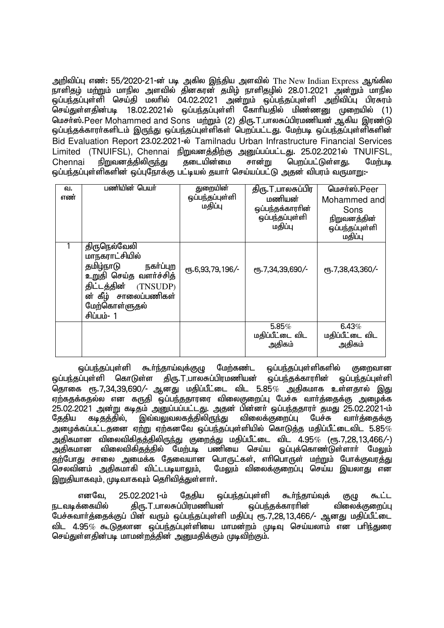அறிவிப்பு எண்: 55/2020-21-ன் படி அகில இந்திய அளவில் The New Indian Express ஆங்கில நாளிதழ் மற்றும் மாநில அளவில் தினகரன் தமிழ் நாளிதழில் 28.01.2021 அன்றும் மாநில .<br>ஒப்பந்தப்புள்ளி செய்தி மலரில் 04.02.2021 அன்றும் ஒப்பந்தப்புள்ளி அறிவிப்பு பிரசுரம் டுசய்துள்ளதின்படி 18.02.2021ல் ஒப்பந்தப்புள்ளி கோரியதில் மிண்ணனு முறையில் (1) மெசர்ஸ்.Peer Mohammed and Sons மற்றும் (2) திரு.T.பாலசுப்பிரமணியன் ஆகிய இரண்டு ஒப்பந்தக்காரா்களிடம் இருந்து ஒப்பந்தப்புள்ளிகள் பெறப்பட்டது. மேற்படி ஒப்பந்தப்புள்ளிகளின் Bid Evaluation Report 23.02.2021-ல் Tamilnadu Urban Infrastructure Financial Services Limited (TNUIFSL), Chennai நிறுவனத்திற்கு அனுப்பப்பட்டது. 25.02.2021ல் TNUIFSL, Chennai நிறுவனத்திலிருந்து தடையின்மை சான்று பெறப்பட்டுள்ளது. மேற்படி <u>ஒப்பந்த</u>ப்புள்ளிகளின் ஒப்புநோக்கு பட்டியல் தயார் செய்யப்பட்டு அதன் விபரம் வருமாறு:-

| வ.<br>எண் | பணியின் பெயர்                                                                                                                                                     | துறையின்<br>ஒப்பந்தப்புள்ளி<br>மதிப்பு | திரு.T.பாலசுப்பிர<br>மணியன்<br>ஒப்பந்தக்காரரின்<br>ஒப்பந்தப்புள்ளி<br>மதிப்பு | மெசர்ஸ்.Peer<br>Mohammed and<br>Sons<br>நிறுவனத்தின்<br>ஒப்பந்தப்புள்ளி<br>மதிப்பு |
|-----------|-------------------------------------------------------------------------------------------------------------------------------------------------------------------|----------------------------------------|-------------------------------------------------------------------------------|------------------------------------------------------------------------------------|
|           | திருநெல்வேலி<br>மாநகராட்சியில்<br>தமிழ்நாடு<br>நகர்ப்புற<br>உறுதி செய்த வளர்ச்சித்<br>திட்டத்தின் (TNSUDP)<br>ன் கீழ் சாலைப்பணிகள்<br>மேற்கொள்ளுதல்<br>சிப்பம்- 1 | ரு.6,93,79,196/-                       | СПБ. 7, 34, 39, 690/-                                                         | ரூ.7,38,43,360/-                                                                   |
|           |                                                                                                                                                                   |                                        | 5.85%<br>மதிப்பீட்டை விட<br>அதிகம்                                            | 6.43%<br>மதிப்பீட்டை விட<br>அதிகம்                                                 |

<u>ஒ</u>ப்பந்தப்புள்ளி கூர்ந்தாய்வுக்குழு மேற்கண்ட ஒப்பந்தப்புள்ளிகளில் குறைவான <u>ஒ</u>ப்பந்தப்புள்ளி கொடுள்ள திரு.T,பாலசுப்பிரமணியன் ஒப்பந்தக்காரரின் ஒப்பந்தப்புள்ளி ் தொகை ரூ.7,34,39,690/- ஆனது மதிப்பீட்டை விட 5.85 $\%$  அதிகமாக உள்ளதால் இது ஏற்கதக்கதல்ல என கருதி ஒப்பந்ததாரரை விலைகுறைப்பு பேச்சு வார்த்தைக்கு அழைக்க 25.02.2021 அன்று கடிதம் அனுப்பப்பட்டது. அதன் பின்னா் ஒப்பந்ததாரா் தமது 25.02.2021-ம்<br>தேதிய கடிதத்தில், இவ்வலுவலகத்திலிருந்து விலைக்குறைப்பு பேச்சு வாா்த்தைக்கு தேதிய கடிதத்தில், இவ்வலுவலகத்திலிருந்து விலைக்குறைப்பு பேச்சு வார்த்தைக்கு அமைக்கப்பட்டதனை ஏற்று ஏற்கனவே ஒப்பந்தப்புள்ளியில் கொடுக்கு மகிப்பீட்டைவிட  $5.85\%$ ் அகிகமான விலைவிகிகக்கிலிருந்து குறைக்கு மகிப்பீட்டை விட 4.95 $\%$  ( $\epsilon$ ந.7.28.13.466/-) ு...<br>அதிகமான விலைவிகிதத்தில் மேற்படி பணியை செய்ய ஒப்புக்கொண்டுள்ளார் மேலும் தற்போது சாலை அமைக்க தேவையான பொருட்கள், எரிபொருள் மற்றும் போக்குவரத்து<br>செலவினம் அதிகமாகி விட்டபடியாலும், மேலும் விலைக்குறைப்பு செய்ய இயலாது என மேலும் விலைக்குறைப்பு செய்ய இயலாது என இறுதியாகவும், முடிவாகவும் தெரிவித்துள்ளார்.

எனவே, 25.02.2021-ம் தேதிய ஒப்பந்தப்புள்ளி கூர்ந்தாய்வுக் குழு கூட்ட நடவடிக்கையில் கிரு.T.பாலசுப்பிரமணியன் வப்பந்தக்காரரின் விலைக்குறைப்பு பேச்சுவாா்த்தைக்குப் பின் வரும் ஒப்பந்தப்புள்ளி மதிப்பு ரூ.7,28,13,466/- ஆனது மதிப்பீட்டை ் 4.95 $\%$  கூடுகலான ஒப்பந்தப்புள்ளியை மாமன்றம் முடிவு செய்யலாம் என பரிந்துரை செய்துள்ளதின்படி மாமன்றத்தின் அனுமதிக்கும் முடிவிற்கும்.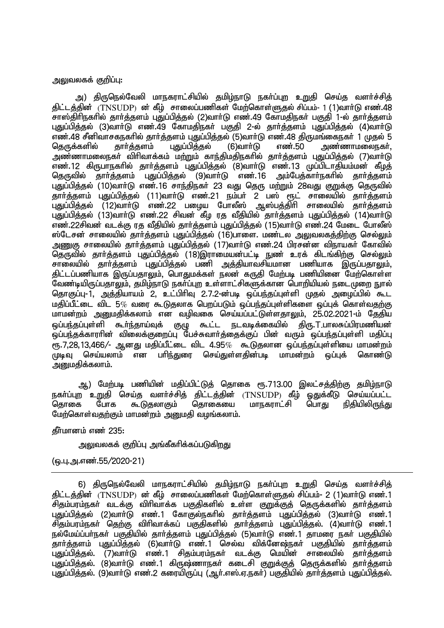#### அலுவலகக் குறிப்பு:

அ) திருநெல்வேலி மாநகராட்சியில் தமிழ்நாடு நகர்ப்புற உறுதி செய்த வளர்ச்சித் திட்டத்தின்  $(TNSUDP)$  ன் கீழ் சாலைப்பணிகள் மேற்கொள்ளுதல் சிப்பம்- 1 (1)வார்டு எண்.48 சாஸ்கிரிநகரில் கார்க்களம் பகுப்பிக்கல் (2)வார்டு எண்.49 கோமகிநகர் பகுகி 1-ல் கார்க்களம் புதுப்பித்தல் (3)வார்டு எண்.49 கோமதிநகர் பகுதி 2-ல் தார்த்தளம் புதுப்பித்தல் (4)வார்டு எண்.48 சீனிவாசகநகரில் தாா்த்தளம் புதுப்பித்தல் (5)வாா்டு எண்.48 திருமங்கைநகா் 1 முதல் 5<br>தெருக்களில் தாா்த்தளம் புதுப்பித்தல் (6)வாா்டு எண்.50 அண்ணாமலைநகா். அண்ணாமலைநகர். <u>அண்ணாமலைந</u>கா் விரிவாக்கம் மற்றும் காந்திமதிநகரில் தாா்த்தளம் புதுப்பித்தல் (7)வாா்டு எண்.12 கிருபாநகரில் தாா்த்தளம் புதுப்பித்தல் (8)வாா்டு எண்.13 முப்பிடாதியம்மன் கீழத்<br>கொலில் காா்க்களம் பகுப்பிக்கல் (9)வாா்டு எண்.16 அம்பேக்காா்நகரில் காா்க்களம் தெருவில் தார்த்தளம் புதுப்பித்தல் (9)வார்டு எண். $16$ புதுப்பிக்கல் (10)வாா்டு எண்.16 சாந்திநகா் 23 வது தொட மா்்றும் 28வது குறுக்கு தொவில் தார்த்தளம் புதுப்பித்தல் (11)வாா்டு எண்.21 நம்பா் 2 பஸ் ரூட் சாலையில் தாா்த்தளம்<br>புதுப்பித்தல் (12)வாா்டு எண்.22 பழைய போலீஸ் ஆஸ்பத்திாி சாலையில் தாா்க்களம் புதுப்பித்தல் (12)வாா்டு எண்.22 பழைய போலீஸ் ஆஸ்பத்திாி சாலையில் தாா்த்தளம் புதுப்பித்தல் (13)வாா்டு எண்.22 சிவன் கீழ ரத வீதியில் தாா்த்தளம் புதுப்பித்தல் (14)வாா்டு எண்.22சிவன் வடக்கு ரத வீதியில் தார்த்தளம் புதுப்பித்தல் (15)வார்டு எண்.24 மேடை போலீஸ் ஸ்டேசன் சாலையில் தார்த்தளம் புதுப்பித்தல் (16)பாளை. மண்டல அலுவலகத்திற்கு செல்லும் அணுகு சாலையில் தார்த்தளம் புதுப்பித்தல் (17)வார்டு எண்.24 பிரசன்ன விநாயகர் கோவில் தெருவில் தார்த்தளம் புதுப்பித்தல் (18)இராமையன்பட்டி நுண் உரக் கிடங்கிற்கு செல்லும் சாலையில் தார்த்தளம் புதுப்பித்தல் பணி அத்தியாவசியமான பணியாக இருப்பதாலும், ்கிட்டப்பணியாக இருப்பதாலும், பொதுமக்கள் நலன் கருதி மேற்படி பணியினை மேற்கொள்ள  $\tilde{S}$ வண்டியிருப்பதாலும், தமிம்நாடு நகர்ப்புற உள்ளாட்சிகளுக்கான பொறியியல் நடைமுறை நுரல் தொகுப்பு-1, அத்தியாயம் 2, உட்பிரிவு 2.7.2-ன்படி ஒப்பந்தப்புள்ளி முதல் அழைப்பில் கூட மதிப்பீட்டை விட 5 $\%$  வரை கூடுதலாக பெறப்படும் ஒப்பந்தப்புள்ளிகளை ஒப்புக் கொள்வதற்கு மாமன்றம் அனுமதிக்கலாம் என வழிவகை செய்யப்பட்டுள்ளதாலும், 25.02.2021-ம் தேதிய<br>ஓப்பந்கப்பள்ளி கூர்ந்காய்வக் குமு கூட்ட நடவடிக்கையில் கிரு.T.பாலசுப்பிாமணியன் கூா்ந்தாய்வுக் குழு கூட்ட நடவடிக்கையில் .<br>ஒப்பந்தக்காரரின் விலைக்குறைப்பு பேச்சுவார்த்தைக்குப் பின் வரும் ஒப்பந்தப்புள்ளி மகிப்பு  $\epsilon$ ந.7,28,13,466/- ஆனது மதிப்பீட்டை விட 4.95 $\%$  கூடுுகலான ஒப்பந்தப்புள்ளியை மாமன்றம் முடிவு செய்யலாம் என பரிந்துரை செய்துள்ளகின்படி மாமன்றம் ஒப்புக் கொண்டு அனுமதிக்கலாம்.

ஆ) மேற்படி பணியின் மதிப்பிட்டுத் தொகை ரூ.713.00 இலட்சத்திற்கு தமிழ்நாடு நகா்ப்புற உறுதி செய்த வளா்ச்சித் திட்டத்தின் (TNSUDP) கீழ் ஓதுக்கீடு செய்யப்பட்ட<br>கொகை போக கூடுகலாகும் கொகையை மாநகராட்சி பொது நிகியிலிருந்து மாநகராட்சி மேற்கொள்வதற்கும் மாமன்றம் அனுமதி வழங்கலாம்.

## **தீர்மானம் எண் 235:**

அலுவலகக் குறிப்பு அங்கீகரிக்கப்படுக<u>ிறத</u>ு

(ஒ.பு.அ.எண்.55/2020-21)

6) திருநெல்வேலி மாநகராட்சியில் தமிழ்நாடு நகா்ப்புற உறுதி செய்த வளா்ச்சித் திட்டத்தின்  $(TNSUDP)$  ன் கீழ் சாலைப்பணிகள் மேற்கொள்ளுதல் சிப்பம்- 2 (1)வார்டு எண்.1 சிதம்பரம்நகா் வடக்கு விாிவாக்க பகுதிகளில் உள்ள குறுக்குத் தெருக்களில் தாா்த்தளம் புதுப்பித்தல் (2)வாா்டு எண்.1 கோகுல்நகாில் தாா்த்தளம் புதுப்பித்தல் (3)வாா்டு எண்.1 சிதம்பரம்நகர் தெற்கு விரிவாக்கப் பகுதிகளில் தார்த்தளம் புதுப்பித்தல். (4)வார்டு எண்.1 நல்மேய்ப்பா்நகா் பகுதியில் தாா்த்தளம் புதுப்பித்தல் (5)வாா்டு எண்.1 தாமரை நகா் பகுதியில் .<br>தாா்த்தளம் புதுப்பித்தல் (6)வாா்டு எண்.1 செல்வ விக்னேஷ்நகா் பகுதியில் தாா்த்தளம்<br>புதுப்பித்தல். (7)வாா்டு எண்.1 சிதம்பரம்நகா் வடக்கு மெயின் சாலையில் காா்க்களம் புதுப்பித்தல். (7)வாா்டு எண்.1 சிதம்பரம்நகா் வடக்கு மெயின் சாலையில் பகுப்பிக்கல். (8)வாா்டு எண்.1 கிருஷ்ணாநகா் கடைசி குறுக்குத் தெருக்களில் தாா்த்தளம் புதுப்பித்தல். (9)வார்டு எண்.2 கரையிருப்பு (ஆர்.எஸ்.ஏ.நகர்) பகுதியில் தார்த்தளம் புதுப்பித்தல்.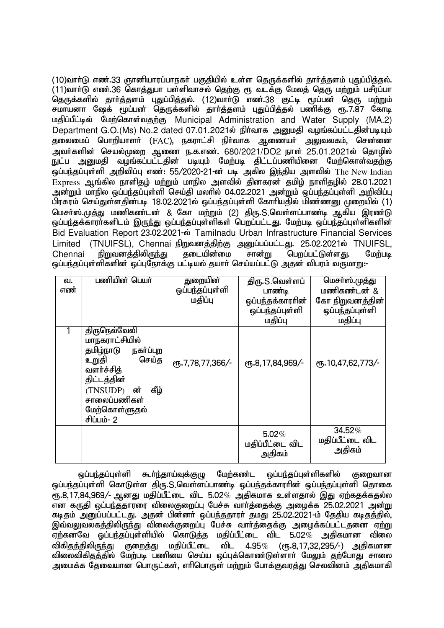(10)வார்டு எண்.33 ஞானியாரப்பாநகர் பகுதியில் உள்ள தெருக்களில் தார்த்தளம் புதுப்பித்தல். (11)வார்டு எண்.36 கொத்துபா பள்ளிவாசல் தெற்கு ரூ வடக்கு மேலத் தெரு மற்றும் பசீரப்பா தெருக்களில் தார்த்தளம் புதுப்பித்தல். (12)வார்டு எண்.38 குட்டி மூப்பன் தெரு மற்றும் சமாயனா ஷேக் மூப்பன் தெருக்களில் தார்த்தளம் புதுப்பித்தல் பணிக்கு ரூ.7.87 கோடி uதிப்பீட்டில் மேற்கொள்வதற்கு Municipal Administration and Water Supply (MA.2) Department G.O.(Ms) No.2 dated 07.01.2021ல் நிர்வாக அனுமதி வழங்கப்பட்டதின்படியும் தலைமைப் பொறியாளர் (FAC), நகராட்சி நிர்வாக ஆணையர் அலுவலகம், சென்னை அவர்களின் செயல்முறை ஆணை ந.க.எண். 680/2021/DO2 நாள் 25.01.2021ல் தொழில் ு.<br>நுட்ப அனுமதி வழங்கப்பட்டதின் படியும் மேற்படி திட்டப்பணியினை மேற்கொள்வதற்கு ஒப்பந்தப்புள்ளி அறிவிப்பு எண்: 55/2020-21-ன் படி அகில இந்திய அளவில் The New Indian  $Express$  ஆங்கில நாளிதம் மற்றும் மாநில அளவில் தினகரன் தமிம் நாளிதமில் 28.01.2021 அன்றும் மாநில ஒப்பந்தப்புள்ளி செய்தி மலரில் 04.02.2021 அன்றும் ஒப்பந்தப்புள்ளி அறிவிப்பு பிரசுரம் செய்துள்ளதின்படி 18.02.2021ல் ஒப்பந்தப்புள்ளி கோரியதில் மிண்ணனு முறையில் (1) மெசர்ஸ்.முத்து மணிகண்டன் & கோ மற்றும் (2) திரு.S.வெள்ளப்பாண்டி ஆகிய இரண்டு ஒப்பந்தக்காரா்களிடம் இருந்து ஒப்பந்தப்புள்ளிகள் பெறப்பட்டது. மேற்படி ஒப்பந்தப்புள்ளிகளின் Bid Evaluation Report 23.02.2021-ல் Tamilnadu Urban Infrastructure Financial Services Limited (TNUIFSL), Chennai நிறுவனத்திற்கு அனுப்பப்பட்டது. 25.02.2021ல் TNUIFSL,<br>Chennai நிறுவனத்திலிருந்து தடையின்மை சான்று பெறப்பட்டுள்ளகு. மேற்படி  $Chenna$ i நிறுவனத்திலிருந்து தடையின்மை சான்று பெறப்பட்டுள்ளது. மேற்படி ் ஒப்பந்தப்புள்ளிகளின் ஒப்புநோக்கு பட்டியல் தயார் செய்யப்பட்டு அதன் விபரம் வருமாறு:-

| வ.<br>எண் | பணியின் பெயர்                                                                                                                                                                 | துறையின்<br>ஒப்பந்தப்புள்ளி<br>மதிப்பு | திரு.S.வெள்ளப்<br>பாண்டி<br>ஒப்பந்தக்காரரின்<br>ஒப்பந்தப்புள்ளி<br>மதிப்பு | மெசா்ஸ்.முத்து<br>மணிகண்டன் &<br>கோ நிறுவனத்தின்<br>ஒப்பந்தப்புள்ளி<br>மதிப்பு |
|-----------|-------------------------------------------------------------------------------------------------------------------------------------------------------------------------------|----------------------------------------|----------------------------------------------------------------------------|--------------------------------------------------------------------------------|
|           | திருநெல்வேலி<br>மாநகராட்சியில்<br>தமிழ்நாடு<br>நகர்ப்புற<br>செய்த<br>உறுதி<br>வளர்ச்சித்<br>திட்டத்தின்<br>கீழ்<br>(TNSUDP) ன்<br>சாலைப்பணிகள்<br>மேற்கொள்ளுதல்<br>சிப்பம்- 2 | ரு.7,78,77,366/-                       | ரு.8,17,84,969/-                                                           | СПБ. 10, 47, 62, 773/-                                                         |
|           |                                                                                                                                                                               |                                        | 5.02%<br>மதிப்பீட்டை விட<br>அதிகம்                                         | 34.52%<br>மதிப்பீட்டை விட<br>அதிகம்                                            |

ஒப்பந்தப்புள்ளி கூா்ந்தாய்வுக்குழு மேற்கண்ட ஒப்பந்தப்புள்ளிகளில் குறைவான ஒப்பந்தப்புள்ளி கொடுள்ள திரு.S.வெள்ளப்பாண்டி ஒப்பந்தக்காரரின் ஒப்பந்தப்புள்ளி தொகை  $\epsilon$ ஈ, 8,17,84,969/- ஆனது மதிப்பீட்டை விட 5.02 $\%$  அதிகமாக உள்ளதால் இது ஏற்கதக்கதல்ல என கருதி ஒப்பந்ததாரரை விலைகுறைப்பு பேச்சு வார்த்தைக்கு அழைக்க 25.02.2021 அன்று கடிதம் அனுப்பப்பட்டது. அதன் பின்னா் ஒப்பந்ததாரா் தமது 25.02.2021-ம் தேதிய கடிதத்தில், இவ்வலுவலகத்திலிருந்து விலைக்குறைப்பு பேச்சு வார்த்தைக்கு அழைக்கப்பட்டதனை ஏற்று ஏற்கனவே ஓப்பந்தப்புள்ளியில் கொடுத்த மதிப்பீட்டை விட 5.02 $\%$  அதிகமான விலை<br>விகிதத்திலிருந்து குறைத்து மதிப்பீட்டை விட 4.95 $\%$  (ரூ.8.17.32.295/-) அதிகமான விகிதத்திலிருந்து குறைத்து மதிப்பீட்டை விட 4.95 $\%$  (ரூ.8,17,32,295/-) அதிகமான <u>விலைவிகிதத்த</u>ில் மேற்படி பணியை செய்ய ஒப்புக்கொண்டுள்ளார் மேலும் தற்போது சாலை அமைக்க தேவையான பொருட்கள், எரிபொருள் மற்றும் போக்குவரத்து செலவினம் அதிகமாகி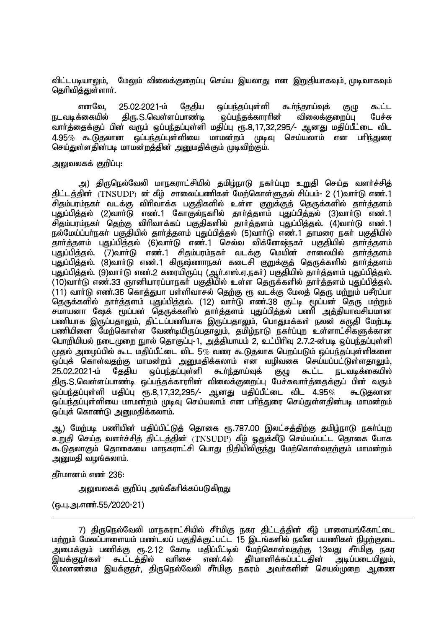விட்டபடியாலும், மேலும் விலைக்குறைப்பு செய்ய இயலாது என இறுதியாகவும்<sub>, (</sub>முடிவாகவும் தெரிவித்துள்ளார்.

எனவே, 25.02.2021-ம் தேதிய ஒப்பந்தப்புள்ளி கூர்ந்தாய்வுக் குழு கூட்ட<br>க்கையில் கிரு..S. வெள்ளப்பாணம் வப்பந்தக்காரரின் விலைக்குறைப்ப பேச்சு நடவடிக்கையில் திரு.S.வெள்ளப்பாண்டி ஒப்பந்தக்காரரின் விலைக்குறைப்பு வார்க்கைக்குப் பின் வரும் ஓப்பந்தப்புள்ளி மதிப்பு ரூ.8.17.32.295/- ஆனது மதிப்பீட்டை விட  $4.95\%$  கூடுகலான ஒப்பந்தப்புள்ளியை மாமன்றம் முடிவு செய்யலாம் என பரிந்துரை செய்துள்ளதின்படி மாமன்றத்தின் அனுமதிக்கும் முடிவிற்கும்.

#### அலுவலகக் குறிப்பு:

அ) திருநெல்வேலி மாநகராட்சியில் தமிழ்நாடு நகர்ப்புற உறுதி செய்த வளர்ச்சித் திட்டத்தின்  $(TNSUDP)$  ன் கீழ் சாலைப்பணிகள் மேற்கொள்ளுதல் சிப்பம்- 2 (1)வார்டு எண்.1 .<br>சிகும்பரம்நகா் வடக்கு விாிவாக்க பகுதிகளில் உள்ள குறுக்குத் தெருக்களில் தாா்த்தளம் புதுப்பித்தல் (2)வாா்டு எண்.1 கோகுல்நகாில் தாா்த்தளம் புதுப்பித்தல் (3)வாா்டு எண்.1 சிதம்பரம்நகர் தெற்கு விரிவாக்கப் பகுதிகளில் தார்த்தளம் புதுப்பித்தல். (4)வார்டு எண்.1 நல்மேய்ப்பா்நகா் பகுதியில் தாா்த்தளம் புதுப்பித்தல் (5)வாா்டு எண்.1 தாமரை நகா் பகுதியில் jhh;j;jsk; GJg;gpj;jy; (6)thh;L vz;.1 nry;t tpf;Nd\;efh; gFjpapy; jhh;j;jsk; புதுப்பித்தல். (7)வாா்டு எண்.1 சிதம்பரம்நகா் வடக்கு மெயின் சாலையில் புதுப்பித்தல். (8)வாா்டு எண்.1 கிருஷ்ணாநகா் கடைசி குறுக்குத் தெருக்களில் தாா்த்தளம் புதுப்பித்தல். (9)வாா்டு எண்.2 கரையிருப்பு (ஆா்.எஸ்.ஏ.நகா்) பகுதியில் தாா்த்தளம் புதுப்பித்தல்.  $\sim$  (10)வார்டு எண்.33 ஞானியாாப்பாநகர் பகுதியில் உள்ள கொக்களில் கார்க்களம் பகுப்பிக்கல்.  $(11)$  வார்டு எண்.36 கொத்துபா பள்ளிவாசல் தெற்கு ரூ வடக்கு மேலத் தெரு மற்றும் பசீரப்பா ்<br>தெருக்களில் தார்த்தளம் புதுப்பித்தல். (12) வார்டு எண்.38 குட்டி மூப்பன் தெரு மற்றும் சமாயனா ஷேக் பூப்பன் தெருக்களில் தார்த்தளம் புதுப்பித்தல் பணி அத்தியாவசியமான பணியாக இருப்பதாலும், திட்டப்பணியாக இருப்பதாலும், பொதுமக்கள் நலன் கருதி மேற்படி பணியினை மேற்கொள்ள வேண்டியிருப்பதாலும், தமிழ்நாடு நகர்ப்புற உள்ளாட்சிகளுக்கான பொறியியல் நடைமுறை நூல் தொகுப்பு-1, அத்தியாயம் 2, உட்பிரிவு 2.7.2-ன்படி ஒப்பந்தப்புள்ளி  $\mu$ மகல் அமைப்பில் கூட மகிப்பீட்டை விட 5 $\%$  வரை கூடுகலாக பெருப்படும் ஒப்பந்தப்பள்ளிகளை ஒப்புக் கொள்வதற்கு மாமன்றம் அனுமதிக்கலாம் என வழிவகை செய்யப்பட்டுள்ளதாலும்,<br>25.02.2021-ம் தேதிய ஒப்பந்தப்புள்ளி கூா்ந்தாய்வுக் குழு கூட்ட நடவடிக்கையில் நடவடிக்கையில் திரு.S.வெள்ளப்பாண்டி ஒப்பந்தக்காராின் விலைக்குறைப்பு பேச்சுவாா்த்தைக்குப் பின் வரும்<br>ஒப்பந்தப்புள்ளி மதிப்பு ரூ.8.17.32.295.⁄- ஆனது மதிப்பீட்டை விட 4.95*% கூ*.டுகலான ் ஒப்பந்தப்புள்ளி மதிப்பு ரூ.8,17,32,295/- ஆனது மதிப்பீட்டை விட 4.95 $\%$ .<br>ஒப்பந்தப்புள்ளியை மாமன்றம் முடிவு செய்யலாம் என பரிந்துரை செய்துள்ளகின்படி மாமன்றம்  $\tilde{\bm{\omega}}$ ப்புக் கொண்டு அறுமதிக்கலாம்.

ஆ) மேற்படி பணியின் மதிப்பிட்டுத் தொகை ரூ.787.00 இலட்சத்திற்கு தமிழ்நாடு நகர்ப்புற  $\overline{2}$ றுகி செய்க வளர்ச்சிக் கிட்டக்கின்  $\langle \mathrm{TNSUDP} \rangle$  கீம் கைக்கீடு செய்யப்பட்ட கொகை போக கூடுகலாகும் கொகையை மாநகராட்சி பொகு நிகியிலிருந்து மேற்கொள்வகற்கும் மாமன்றம் அனுமதி வழங்கலாம்.

தீர்மானம் எண் 236:

அலுவலகக் குறிப்பு அங்கீகரிக்கப்படுகிறது

(ஒ.பு.அ.எண்.55/2020-21)

<sup>7)</sup> திருநெல்வேலி மாநகராட்சியில் சீர்மிகு நகர திட்டத்தின் கீழ் பாளையங்கோட்டை மற்றும் மேலப்பாளையம் மண்டலப் பகுதிக்குட்பட்ட 15 இடங்களில் நவீன பயணிகள் நிழற்குடை அமைக்கும் பணிக்கு ரூ.2.12 கோடி மதிப்பீட்டில் மேற்கொள்வதற்கு 13வது சீா்மிகு நகர<br>இயக்குநா்கள் கூட்டத்தில் வாிசை எண்.4ல் தீா்மானிக்கப்பட்டதின் அடிப்படையிலும். எண். $4$ ல் தீா்மானிக்கப்பட்டதின் .<br>மேலாண்மை இயக்குநர், திருநெல்வேலி சீர்மிகு நகரம் அவர்களின் செயல்முறை ஆணை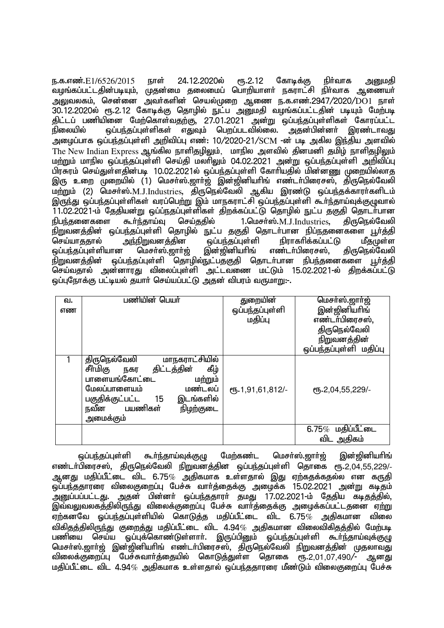<u>ந.க.எண்.E1/6526/2015 நாள் 24.12.2020ல் ரூ.2.12 கோடிக்கு நிர்வாக அறையதி</u> வழங்கப்பட்டதின்படியும், முதன்மை தலைமைப் பொறியாளர் நகராட்சி நிர்வாக ஆணையர் அலுவலகம், சென்னை அவர்களின் செயல்முறை ஆணை ந.க.எண்.2947/2020/DO1 நாள்  $30.12.2020$ ல் ரூ.2.12 கோடிக்கு தொழில் நுட்ப அறையதி வழங்கப்பட்டதின் படியும் மேற்படி திட்டப் பணியினை மேற்கொள்வதற்கு, 27.01.2021 அன்று ஒப்பந்தப்புள்ளிகள் கோரப்பட்ட நிலையில் ஒப்பந்தப்புள்ளிகள் எதுவும் பெறப்படவில்லை. அதன்பின்னா் இரண்டாவது அழைப்பாக ஒப்பந்தப்புள்ளி அறிவிப்பு எண்: 10/2020-21/SCM -ன் படி அகில இந்திய அளவில் The New Indian Express ஆங்கில நாளிதழிலும், மாநில அளவில் தினமனி தமிழ் நாளிதழிலும் மற்றும் மாநில ஒப்பந்தப்பள்ளி செய்தி மலரிலும் 04.02.2021 அன்று ஒப்பந்தப்பள்ளி அறிவிப்பு பிரசுரம் செய்துள்ளதின்படி 10.02.2021ல் ஒப்பந்தப்புள்ளி கோரியதில் மின்னணு முறையில்லாத இரு உறை முறையில் (1) மெசா்ஸ்.ஜாா்ஜ் இன்ஜினியாிங் எண்டா்பிரைசஸ், திருநெல்வேலி மற்றும் (2) மெசர்ஸ்.M.J.Industries, திருநெல்வேலி ஆகிய இரண்டு ஒப்பந்தக்காரர்களிடம் இருந்து ஒப்பந்தப்புள்ளிகள் வரப்பெற்று இம் மாநகராட்சி ஒப்பந்தப்புள்ளி கூர்ந்தாய்வுக்குமுவால் 11.02.2021-ம் தேதியன்று ஒப்ப்நதப்புள்ளிகள் திறக்கப்பட்டு தொழில் நுட்ப தகுதி தொடர்பான நிபந்தனைகளை கூர்ந்தாய்வு செய்ததில்  $1.$ மெசர்ஸ். $M_J$ , $J_J$ Industries, திருநெல்வேலி நிறுவனத்தின் ஒப்பந்தப்புள்ளி தொழில் நுட்ப தகுதி தொடா்பான நிப்நதனைகளை பூா்த்தி<br>செய்யாகதால் அந்நிறுவனக்கின வப்பந்தப்புள்ளி நிராகாிக்கப்பட்டு மீகுமுள்ள செய்யாததால் அந்நிறுவனத்தின ஒப்பந்தப்புள்ளி நிராகரிக்கப்பட்டு மீதமுள்ள<br>ஒப்பந்தப்புள்ளியான மெசா்ஸ்.ஜாா்ஜ் இன்ஜினியாிங் எண்டா்பிரைசஸ். கிருநெல்வேலி ஒப்பந்தப்புள்ளியான<sup>்</sup><br>நிறுவனக்கின் வப்ப <u>ஒப்பந்தப்புள்ளி தொழில்நுட்பத்குதி தொடர்பான நிபந்த</u>னைகளை பூர்த்தி செய்வதால் அன்னாரது விலைப்புள்ளி அட்டவணை மட்டும் 15.02.2021-ல் திறக்கப்பட்டு <u>ஒப்புரோக்கு பட்டியல் த</u>யார் செய்யப்பட்டு அதன் விபரம் வருமாறு:-.

| வ. | பணியின் பெயர்                                                                                                                                                                                                | துறையின்         | மெசா்ஸ்.ஜாா்ஜ்                     |
|----|--------------------------------------------------------------------------------------------------------------------------------------------------------------------------------------------------------------|------------------|------------------------------------|
| எண |                                                                                                                                                                                                              | ஒப்பந்தப்புள்ளி  | இன்ஜினியரிங்                       |
|    |                                                                                                                                                                                                              | மதிப்பு          | எண்டர்பிரைசஸ்,                     |
|    |                                                                                                                                                                                                              |                  | திருநெல்வேலி                       |
|    |                                                                                                                                                                                                              |                  | நிறுவனத்தின்                       |
|    |                                                                                                                                                                                                              |                  | ஒப்பந்தப்புள்ளி மதிப்பு            |
|    | மாநகராட்சியில்<br>திருநெல்வேலி<br>சீர்மிகு நகர<br>திட்டத்தின்<br>கீழ்<br>பாளையங்கோட்டை<br>மற்றும்<br>மேலப்பாளையம்<br>மண்டலப்<br>இடங்களில்<br>பகுதிக்குட்பட்ட<br>15<br>நவீன பயணிகள்<br>நிழற்குடை<br>அமைக்கும் | ரு.1,91,61,812/- | СП . 2,04,55,229/-                 |
|    |                                                                                                                                                                                                              |                  | $6.75\%$ மதிப்பீட்டை<br>விட அதிகம் |
|    |                                                                                                                                                                                                              |                  |                                    |

ஒப்பந்தப்புள்ளி கூா்ந்தாய்வுக்குழு மேற்கண்ட மெசா்ஸ்.ஜாா்ஜ் இன்ஜினியாிங் எண்டர்பிரைசஸ், திருநெல்வேலி நிறுவனத்தின ஒப்பந்தப்புள்ளி தொகை ரூ.2,04,55,229/-ஆனது மதிப்பீட்டை விட 6.75 $\%$  அதிகமாக உள்ளதால் இது ஏற்கதக்கதல்ல என கருதி .<br>ஒப்பந்ததாரரை விலைகுறைப்பு பேச்சு வார்த்தைக்கு அழைக்க 15.02.2021 அன்று கடிதம் ு,<br>அறுப்பப்பட்டது. அதன் பின்னர் ஒப்பந்ததாரர் தமது 17.02.2021-ம் தேதிய கடிதத்தில், , புது,<br>இவ்வலுவலகத்திலிருந்து விலைக்குறைப்பு பேச்சு வாாத்தைக்கு அழைக்கப்பட்டதனை ஏற்று ஏற்கனவே ஒப்பந்தப்புள்ளியில் கொடுத்த மதிப்பீட்டை விட 6.75 $\%$  அதிகமான விலை விகிதத்திலிருந்து குறைத்து மதிப்பீட்டை விட 4.94*%* அதிகமான விலைவிகிதத்தில் மேற்படி<br>பணியை செய்ய வப்பக்கொண்டுள்ளாா். இருப்பினும் வப்பந்தப்புள்ளி கூா்ந்தாய்வக்குமு .<br>ஒப்புக்கொண்டுள்ளாா். இருப்பினும் ஒப்பந்தப்புள்ளி கூா்ந்தாய்வுக்குழு மெசா்ஸ்.ஜாா்ஜ் இன்ஜினியாிங் எண்டா்பிரைச்ஸ், திருநெல்வேலி நிறுவனத்தின் முதலாவது விலைக்குறைப்பு பேச்சுவார்த்தையில் கொடுத்துள்ள தொகை ரூ.2.01.07.490/- ஆனது மகிப்பீட்டை விட 4.94 $\%$  அகிகமாக உள்ளகால் ஒப்பர்ககாாரை மீண்டும் விலைகுறைப்ப பேச்சு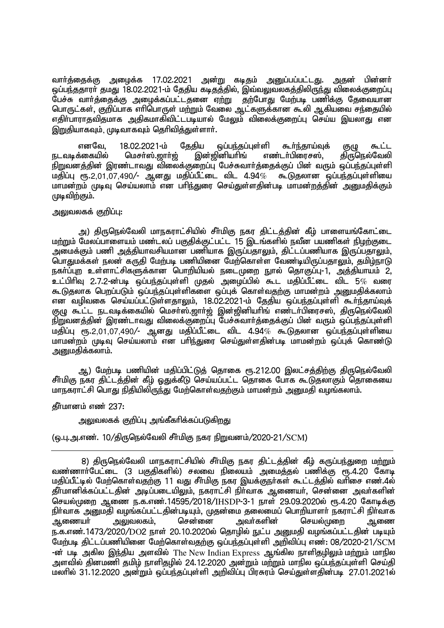வாா்த்தைக்கு அழைக்க 17.02.2021 அன்று கடிதம் அனுப்பப்பட்டது. அதன் பின்னா் <u>ூப்ப</u>ந்ததாரா் தமது 18.02.2021-ம் தேதிய கடிதத்தில், இவ்வலுவலகத்திலிருந்து விலைக்குறைப்பு பேச்சு வார்த்தைக்கு அழைக்கப்பட்டதனை ஏற்று தற்போது மேற்படி பணிக்கு தேவையான பொருட்கள், குறிப்பாக எாி்பொருள் மற்றும் வேலை ஆட்களுக்கான கூலி ஆகியவை சந்தையில் எதிா்பாராதவிதமாக அதிகமாகிவிட்டபடியால் மேலும் விலைக்குறைப்பு செய்ய இயலாது என இறுகியாகவும், முடிவாகவும் கெரிவிக்குள்ளார்.

் எனவே, 18.02.2021-ம் தேதிய ஒப்பந்தப்புள்ளி கூர்ந்தாய்வுக் குழு கூட்ட<br>நடவடிக்கையில் மெசா்ஸ்.ஜாா்ஜ் இன்ஜினியாிங் எண்டா்பிரைசஸ், திருநெல்வேலி மெசா்ஸ்.ஜாா்ஜ் இன்ஜினியாிங் எண்டா்பிரைசஸ், நிறுவனத்தின் இரண்டாவது விலைக்குறைப்பு பேச்சுவார்த்தைக்குப் பின் வரும் ஒப்பந்தப்புள்ளி மதிப்பு ரூ.2,01,07,490/- ஆனது மதிப்பீட்டை விட 4.94 $\%$  கூடுகலான ஒப்பந்கப்பள்ளியை மாமன்றம் முடிவு செய்யலாம் என பரிந்துரை செய்துள்ளதின்படி மாமன்றத்தின் அறுமதிக்கும் முடிவிற்கும்.

## அலுவலகக் குறிப்பு:

அ) திருநெல்வேலி மாநகராட்சியில் சீா்மிகு நகர திட்டத்தின் கீழ் பாளையங்கோட்டை மற்றும் மேலப்பாளையம் மண்டலப் பகுதிக்குட்பட்ட 15 இடங்களில் நவீன பயணிகள் நிழற்குடை ் அமைக்கும் பணி அத்தியாவசியமான பணியாக இருப்பத<u>ாலு</u>ம், திட்டப்பணியாக இருப்பதாலும், பொதுமக்கள் நலன் கருதி மேற்படி பணியினை மேற்கொள்ள வேண்டியிருப்பதாலும், தமிம்நாடு நகா்ப்புற உள்ளாட்சிகளுக்கான பொறியியல் நடைமுறை நுால் தொகுப்பு-1, அத்தியாயம் 2, உட்பிரிவு 2.7.2-ன்படி ஒப்பந்தப்புள்ளி முதல் அழைப்பில் கூட மதிப்பீட்டை விட 5 $\%$  வரை கூடுகலாக பெறப்படும் ஒப்பந்தப்புள்ளிகளை ஒப்பக் கொள்வதற்கு மாமன்றம் அறையதிக்கலாம் என வழிவகை செய்யப்பட்டுள்ளதாலும். 18.02.2021-ம் தேகிய ஒப்பந்தப்புள்ளி கூர்ந்தாய்வுக் குழு கூட்ட நடவடிக்கையில் மெசா்ஸ்.ஜாா்ஜ் இன்ஜினியாிங் எண்டா்பிரைசஸ், திருநெல்வேலி நிறுவனத்தின் இரண்டாவது விலைக்குறைப்பு பேச்சுவார்த்தைக்குப் பின் வரும் ஒப்பந்தப்புள்ளி  $\mu$ நிப்பு ரூ.2,01,07,490/- ஆனது மதிப்பீட்டை விட 4.94 $\%$  கூடுதலான ஒப்பந்தப்பள்ளியை மாமன்றம் முடிவு செய்யலாம் என பரிந்துரை செய்துள்ளதின்படி மாமன்றம் ஒப்புக் கொண்டு அனுமதிக்கலாம்.

ஆ) மேற்படி பணியின் மதிப்பிட்டுத் தொகை ரூ.212.00 இலட்சத்திற்கு திருநெல்வேலி சீர்மிகு நகர திட்டத்தின் கீம் ஒதுக்கீடு செய்யப்பட்ட தொகை போக கூடுதலாகும் தொகையை மாநகராட்சி பொது நிதியிலிருந்து மேற்கொள்வதற்கும் மாமன்றம் அனுமதி வழங்கலாம்.

 $\frac{1}{2}$ ரிப்பானம் எண்

அலுவலகக் குறிப்பு அங்கீகரிக்கப்படுகிறது

(ஒ.பு.அ.எண். 10/திருநெல்வேலி சீர்மிகு நகர நிறுவனம்/2020-21/SCM)

8) திருநெல்வேலி மாநகராட்சியில் சீர்மிகு நகர திட்டத்தின் கீழ் கருப்பந்துறை மற்றும் வண்ணாா்பேட்டை (3 பகுதிகளில்) சலவை நிலையம் அமைத்தல் பணிக்கு ரூ.4.20 கோடி மதிப்பீட்டில் மேற்கொள்வதற்கு 11 வது சீர்மிகு நகர இயக்குநர்கள் கூட்டத்தில் வரிசை எண்.4ல் தீர்மானிக்கப்பட்டதின் அடிப்படையிலும், நகராட்சி நிர்வாக ஆணையர், சென்னை அவர்களின் செயல்முறை ஆணை ந.க.எண்.14595/2018/IHSDP-3-1 நாள் 29.09.2020ல் ரூ.4.20 கோடிக்கு நிர்வாக அனுமதி வழங்கப்பட்டதின்படியும், முதன்மை தலைமைப் பொறியாளர் நகராட்சி நிர்வாக ஆணையா் அலுவலகம், சென்னை அவா்களின் செயல்முறை ஆணை ந.க.எண்.1473/2020/DO2 நாள் 20.10.2020ல் தொழில் நுட்ப அனுமதி வழங்கப்பட்டதின் படியும் மேற்படி திட்டப்பணியினை மேற்கொள்வதற்கு ஒப்பந்தப்புள்ளி அறிவிப்பு எண்: 08/2020-21/SCM -ன் படி அகில இந்திய அளவில் The New Indian Express ஆங்கில நாளிகுமிலும் மற்றும் மாநில அளவில் தினமணி தமிழ் நாளிதமில் 24.12.2020 அன்றும் மற்றும் மாநில ஒப்பந்தப்புள்ளி செய்தி மலரில் 31.12.2020 அன்றும் ஒப்பந்தப்புள்ளி அறிவிப்பு பிரசுரம் செய்துள்ளதின்படி 27.01.2021ல்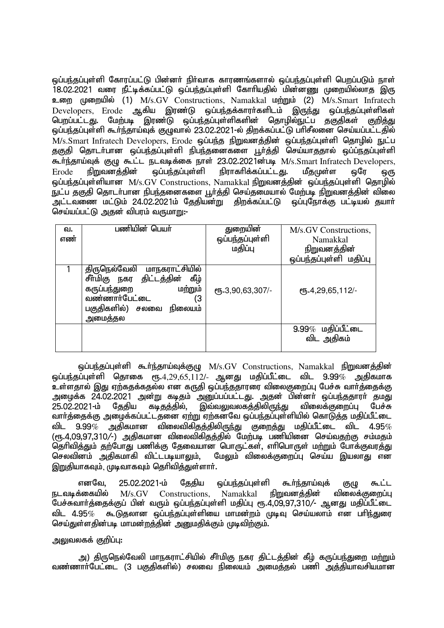ஒப்பந்தப்புள்ளி கோரப்பட்டு பின்னா் நிா்வாக காரணங்களால் ஒப்பந்தப்புள்ளி பெறப்படும் நாள் 18.02.2021 வரை நீட்டிக்கப்பட்டு ஒப்பந்தப்புள்ளி கோரியதில் மின்னணு முறையில்லாத இரு உறை முறையில் (1) M/s.GV Constructions, Namakkal மற்றும் (2) M/s.Smart Infratech<br>Developers, Erode ஆகிய இரண்டு ஒப்பந்தக்காரர்களிடம் இருந்து ஒப்பந்தப்பள்ளிகள்  $D$ evelopers, Erode ஆகிய இரண்டு ஒப்பந்தக்காரர்களிடம் இருந்து பெறப்பட்டது. மேற்படி இரண்டு ஒப்பந்தப்புள்ளிகளின் தொழில்நுட்ப தகுதிகள் குறித்து ஒப்பந்தப்புள்ளி கூர்ந்தாய்வுக் குழுவால் 23.02.2021-ல் திறக்கப்பட்டு பரிசீலனை செய்யப்பட்டதில் M/s.Smart Infratech Developers, Erode ஒப்பந்த நிறுவனத்தின் ஒப்பந்தப்புள்ளி தொழில் நுட்ப தகுதி தொடர்பான ஒப்பந்தப்புள்ளி நிபந்தனைகளை பூர்த்தி செய்யாததால் ஒப்ப்நதப்புள்ளி கூர்ந்தாய்வுக் குழு கூட்ட நடவடிக்கை நாள் 23.02.2021ன்படி M/s.Smart Infratech Developers.  $E$ rode நிறுவனத்தின் ஒப்பந்தப்புள்ளி நிராகரிக்கப்பட்டது. மீதமுுள்ள ஒரே ஒரு லப்பர்கப்பள்ளியான  $M/s.GV$  Constructions, Namakkal நிறுவனத்தின் ஒப்பந்தப்புள்ளி தொழில் .<br>நுட்ப தகுதி தொடர்பான நிபந்தனைகளை பூர்த்தி செய்தமையால் மேற்படி நிறுவனத்தின் விலை .<br>அட்டவணை மட்டும் 24.02.2021ம் தேதியன்று திறக்கப்பட்டு ஒப்புநோக்கு பட்டியல் தயார். செய்யப்பட்டு அகன் விபாம் வருமாறு:-

| வ.<br>எண் | பணியின் பெயர்                                                                                                                                               | துறையின்<br>ஒப்பந்தப்புள்ளி<br>மதிப்பு | M/s.GV Constructions,<br>Namakkal<br><u>நிறுவனத்தின்</u><br>ஒப்பந்தப்புள்ளி மதிப்பு |
|-----------|-------------------------------------------------------------------------------------------------------------------------------------------------------------|----------------------------------------|-------------------------------------------------------------------------------------|
|           | திருநெல்வேலி மாநகராட்சியில்<br>சீர்மிகு நகர திட்டத்தின்<br>கீழ்<br>கருப்பந்துறை<br>மற்றும்<br>வண்ணார்பேட்டை<br>΄3<br>பகுதிகளில்)<br>சலவை நிலையம்<br>அமைத்தல | СПБ-3,90,63,307/-                      | СПБ.4,29,65,112/-                                                                   |
|           |                                                                                                                                                             |                                        | $9.99\%$ மதிப்பீட்டை<br>விட அதிகம்                                                  |

 $\ddot{\varphi}$ ப்பந்தப்புள்ளி கூர்ந்தாய்வுக்குமு  $M/s.GV$  Constructions, Namakkal நிறுவனத்தின் ஒப்பந்தப்புள்ளி தொகை ரூ.4,29,65,112/- ஆனது மதிப்பீட்டை விட 9.99 $\%$  அதிகமாக .<br>உள்ளதால் இது ஏற்கதக்கதல்ல என கருதி ஒப்பந்ததாரரை விலைகுறைப்பு பேச்சு வார்த்தைக்கு அழைக்க 24.02.2021 அன்று கடிதம் அனுப்பப்பட்டது. அதன் பின்னா் ஒப்பந்ததாரா் தமது<br>25.02.2021-ம் தேகிய கடிதத்தில், இவ்வலுவலகத்திலிருந்து விலைக்குறைப்பு பேச்சு தேதிய கடிதத்தில், இவ்வலுவலகத்திலிருந்து விலைக்குறைப்பு பேச்சு வார்க்கைக்கு அமைக்கப்பட்டதனை எற்று எற்கனவே ஒப்பந்தப்புள்ளியில் கொடுக்கு மகிப்பீட்டை விட 9.99 $\%$  அதிகமான விலைவிகிதத்திலிருந்து குறைத்து மதிப்பீட்டை விட 4.95 $\%$ (ரூ.4.09.97.310/-) அதிகமான விலைவிகிதத்தில் மேற்படி பணியினை செய்வதற்கு சம்மதம் .<br>தெரிவித்தும் தற்போது பணிக்கு தேவையான பொருட்கள், எரிபொருள் மற்றும் போக்குவரத்து<br>செலவினம் அகிகமாகி விட்டபடியாலம். மேலம் விலைக்குறைப்ப செய்ய இயலாகட என மேலம் விலைக்குறைப்ப செய்ய இயலாகு என இறுதியாகவும், முடிவாகவும் தெரிவிக்குள்ளார்.

எனவே, 25.02.2021-ம் தேதிய ஒப்பந்தப்புள்ளி கூர்ந்தாய்வுக் குமு கூட்ட நடவடிக்கையில்  $M/s. GV$  Constructions, Namakkal நிறுவனத்தின் விலைக்குறைப்பு ்பேச்சுவாா்த்தைக்குப் பின் வரும் ஒப்பந்தப்புள்ளி மதிப்பு ரூ.4,09,97,310/- ஆனது மதிப்பீட்டை விட 4.95 $\%$  கூடுதலான ஒப்பந்தப்புள்ளியை மாமன்றம் முடிவு செய்யலாம் என பரிந்துரை செய்துள்ளதின்படி மாமன்றத்தின் அனுமதிக்கும் முடிவிற்கும்.

அலுவலகக் குறிப்ப $:$ 

அ) திருநெல்வேலி மாநகராட்சியில் சீா்மிகு நகர திட்டத்தின் கீழ் கருப்பந்துறை மற்றும் வண்ணார்பேட்டை (3 பகுதிகளில்) சலவை நிலையம் அமைத்தல் பணி அத்தியாவசியமான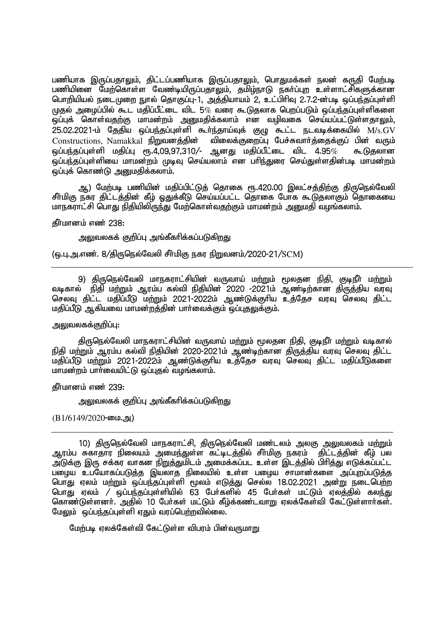பணியாக இருப்பதாலும், திட்டப்பணியாக இருப்பதாலும், பொதுமக்கள் நலன் கருதி மேற்படி பணியினை மேற்கொள்ள வேண்டியிருப்பதாலும், தமிழ்நாடு நகர்ப்புற உள்ளாட்சிகளுக்கான பொறியியல் நடைமுறை நுால் தொகுப்பு-1, அத்தியாயம் 2, உட்பிரிவு 2.7.2-ன்படி ஒப்பந்தப்புள்ளி  $\mu$ தல் அமைப்பில் கூட மதிப்பீட்டை விட 5 $\%$  வரை கூடுதலாக பெறப்படும் ஒப்பந்தப்புள்ளிகளை .<br>ஒப்புக் கொள்வதற்கு மாமன்றம் அனுமதிக்கலாம் என வழிவகை செய்யப்பட்டுள்ளதா<u>லு</u>ம். 25.02.2021-k; Njjpa xg;ge;jg;Gs;sp \$h;e;jha;Tf; FO \$l;l eltbf;ifapy; M/s.GV  $Constructions, Namakkal$  நிறுவனத்தின் விலைக்குறைப்பு பேச்சுவார்த்தைக்குப் பின் வரும்  $\tilde{\omega}$ ப்பந்தப்புள்ளி மதிப்பு ரூ.4,09,97,310/- ஆனது மதிப்பீட்டை விட 4.95 $\%$  கூடுதலான .<br>ஒப்பந்தப்புள்ளியை மாமன்றம் முடிவு செய்யலாம் என பரிந்துரை செய்துள்ளகின்படி மாமன்றம் .<br>ஒப்புக் கொண்டு <u>அனும</u>திக்கலாம்.

ஆ) மேற்படி பணியின் மதிப்பிட்டுத் தொகை ரூ.420.00 இலட்சத்திற்கு திருநெல்வேலி சீர்மிகு நகர திட்டத்தின் கீழ் ஒதுக்கீடு செய்யப்பட்ட தொகை போக கூடுதலாகும் தொகையை மாநகராட்சி பொது நிதியிலிருந்து மேற்கொள்வதற்கும் மாமன்றம் அனுமதி வழங்கலாம்.

தீர்மானம் எண் 238:

அலுவலகக் குறிப்பு அங்கீகரிக்கப்படுக<u>ிறத</u>ு

(ஒ.பு.அ.எண். 8/திருநெல்வேலி சீர்மிகு நகர நிறுவனம்/2020-21/SCM)

9) திருநெல்வேலி மாநகராட்சியின் வருவாய் மற்றும் மூலதன நிதி, குடிநீர் மற்றும் the first state of the state of the state of the state of the state of the state of the state of the state of t<br>மடிகால் நிதி மற்றும் ஆரம்ப கல்வி நிதியின் 2020 -2021ம் ஆண்டிற்கான திருத்திய வரவு செலவு கிட்ட மகிப்பீடு மற்றும் 2021-2022ம் ஆண்டுக்குரிய உக்கேச வரவு செலவு கிட்ட மதிப்பீடு ஆகியவை மாமன்றத்தின் பார்வைக்கும் ஒப்புதலுக்கும்.

# அலுவலகக்குறிப்பு**:**

திருநெல்வேலி மாநகராட்சியின் வருவாய் மற்றும் மூலதன நிதி, குடிநீர் மற்றும் வடிகால் நிதி மற்றும் ஆரம்ப கல்வி நிதியின் 2020-2021ம் ஆண்டிற்கான திருத்திய வரவு செலவு திட்ட மதிப்பீடு மற்றும் 2021-2022ம் ஆண்டுக்குரிய உத்தேச வரவு செலவு திட்ட மதிப்பீடுகளை மாமன்றம் பார்வையிட்டு ஒப்புதல் வழங்கலாம்.

தீர்மானம் எண் 239:

அலுவலகக் குறிப்பு அங்கீகரிக்கப்படுகிறது

 $(B1/6149/2020$ -யை.அ)

10) திருநெல்வேலி மாநகராட்சி, திருநெல்வேலி மண்டலம் அலகு <u>அலு</u>வலகம் ம<u>ற்று</u>ம் ஆரம்ப சுகாதார நிலையம் அமைந்துள்ள கட்டிடத்தில் சீா்மிகு நகரம் கிட்டத்தின் கீழ் பல ு, .<br>அடுக்கு இரு சக்கர வாகன <u>நிறுத்து</u>மிடம் அமைக்கப்பட உள்ள இடத்தில் பிரித்து எடுக்கப்பட்ட பழைய உபயோகப்படுத்த இயலாத நிலையில் உள்ள பழைய சாமான்களை அப்புறப்படுத்த பொது ஏலம் மற்றும் ஒப்பந்தப்புள்ளி மூலம் எடுத்து செல்ல 18.02.2021 அன்று நடைபெற்ற பொது ஏலம் / ஒப்பந்தப்புள்ளியில் 63 பேர்களில் 45 பேர்கள் மட்டும் எலக்கில் கலந்து கொண்டுள்ளனர். அதில் 10 பேர்கள் மட்டும் கீழ்க்கண்டவாறு ஏலக்கேள்வி கேட்டுள்ளார்கள். மேலும்  $\tilde{\bm{\omega}}$ ப்பந்தப்புள்ளி ஏதும் வரப்பெற்றவில்லை.

மேற்படி ஏலக்கேள்வி கேட்டுள்ள விபரம் பின்வருமாறு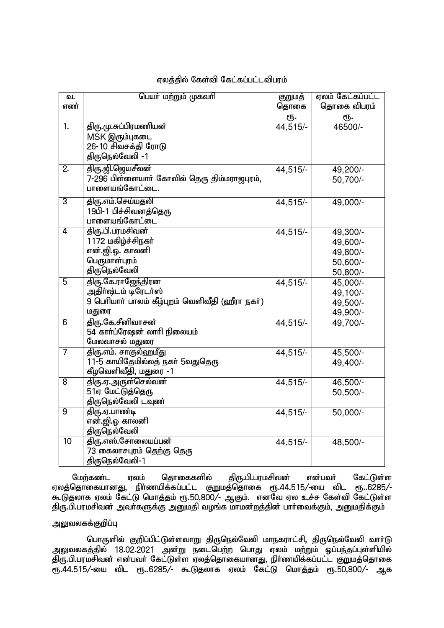| வ.               | பெயர் மற்றும் முகவரி                             | குறுமத்  | ஏலம் கேட்கப்பட்ட      |
|------------------|--------------------------------------------------|----------|-----------------------|
| எண்              |                                                  | தொகை     | தொகை விபரம்           |
|                  |                                                  | ரூ.      | ரூ.                   |
| $\overline{1}$ . | திரு.மு.சுப்பிரமணியன்                            | 44,515/- | 46500/-               |
|                  | MSK இரும்புகடை                                   |          |                       |
|                  | 26-10 சிவசக்தி ரோடு                              |          |                       |
|                  | திருநெல்வேலி -1                                  |          |                       |
| 2.               | திரு.ஜி.ஜெயசீலன்                                 | 44,515/- | 49,200/-              |
|                  | .<br>7-296 பிள்ளையாா் கோவில் தெரு திம்மராஜபுரம், |          | 50,700/-              |
|                  | பாளையங்கோட்டை.                                   |          |                       |
| $\overline{3}$   | திரு.எம்.செய்யதலி                                | 44,515/- | $49,000$ <sup>-</sup> |
|                  | 19பி-1 பிச்சிவனத்தெரு                            |          |                       |
|                  | பாளையங்கோட்டை                                    |          |                       |
| $\overline{4}$   | திரு.பி.பரமசிவன்                                 | 44,515/- | 49,300/-              |
|                  | 1172 மகிழ்ச்சிநகர்                               |          | 49,600/-              |
|                  | என்.ஜி.ஓ. காலனி                                  |          | 49,800/-              |
|                  | பெருமாள்புரம்                                    |          | 50,600/-              |
|                  | திருநெல்வேலி                                     |          | 50,800/-              |
| 5                | திரு.கே.ராஜேந்திரன                               | 44,515/- | 45,000/-              |
|                  | அதிா்ஷ்டம் டிரேடா்ஸ்                             |          | 49,100/-              |
|                  | 9 பெரியாா் பாலம் கீழ்புறம் வெளிவீதி (ஹீரா நகா்)  |          | 49,500/-              |
|                  | மதுரை                                            |          | 49,900/-              |
| $\overline{6}$   | திரு.கே.சீனிவாசன்                                | 44,515/- | 49,700/-              |
|                  | 54 காா்ப்ரேஷன் லாாி நிலையம்                      |          |                       |
|                  | மேலவாசல் மதுரை                                   |          |                       |
| 7                | திரு.எம். சாகுல்ஹமீது                            | 44,515/- | 45,500/-              |
|                  | 11-5 காயிதேமில்லத் நகர் 5வதுதெரு                 |          | 49,400/-              |
|                  | கீழவெளிவீதி, மதுரை -1                            |          |                       |
| $\overline{8}$   | திரு.ஏ.அருள்செல்வன்                              | 44,515/- | 46,500/-              |
|                  | 51ஏ மேட்டுத்தெரு                                 |          | 50,500/-              |
|                  | திருநெல்வேலி டவுண்                               |          |                       |
| $\overline{9}$   | திரு.ஏ.பாண்டி                                    | 44,515/- | 50,000/-              |
|                  | என்.ஜி.ஓ காலனி                                   |          |                       |
|                  | திருநெல்வேலி                                     |          |                       |
| $\overline{10}$  | திரு.எஸ்.சோலையப்பன்                              | 44,515/- | 48,500/-              |
|                  | 73 கைலாசபுரம் தெற்கு தெரு                        |          |                       |
|                  | திருநெல்வேலி-1                                   |          |                       |

## ஏலத்தில் கேள்வி கேட்கப்பட்டவிபரம்

மேற்கண்ட ஏலம் தொகைகளில் திரு.பி.பரமசிவன் என்பவர் கேட்டுள்ள ஏலத்தொகையானது, நிர்ணயிக்கப்பட்ட குறுமத்தொகை ரூ.44.515/-யை விட ரூ..6285/-கூடுதலாக ஏலம் கேட்டு மொத்தம் ரூ.50,800/- ஆகும். எனவே ஏல உச்ச கேள்வி கேட்டுள்ள திரு.பி.பரமசிவன் அவா்களுக்கு <u>அனுமதி</u> வழங்க மாமன்றத்தின் பாா்வைக்கும், அனுமதிக்கும்

## அலுவலகக்குறிப்பு

பொருளில் குறிப்பிட்டுள்ளவாறு திருநெல்வேலி மாநகராட்சி, திருநெல்வேலி வாா்டு அலுவலகத்தில் 18.02.2021 அன்று நடைபெற்ற பொது ஏலம் மற்றும் ஒப்பந்தப்புள்ளியில் ்திரு.பி.பரமசிவன் என்பவர் கேட்டுள்ள ஏலத்தொகையானது, நிர்ணயிக்கப்பட்ட குறுமத்தொகை &.44.515/-ia tpl &..6285/- \$Ljyhf Vyk; Nfl;L nkhj;jk; &.50>800/- Mf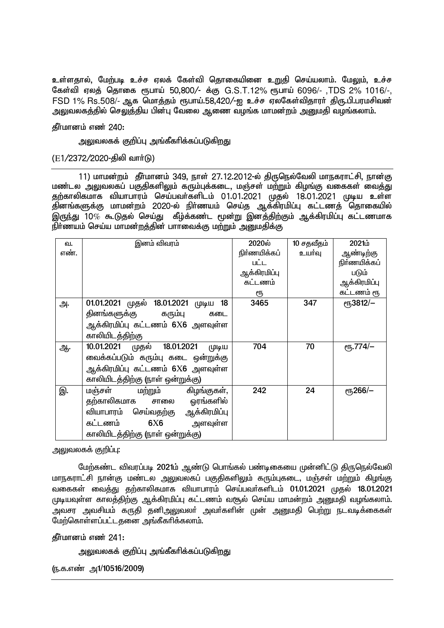உள்ளதால், மேற்படி உச்ச ஏலக் கேள்வி தொகையினை உறுதி செய்யலாம். மேலும், உச்ச கேள்வி ஏலத் தொகை ரூபாய் 50,800/- க்கு G.S.T.12% ரூபாய் 6096/- ,TDS 2% 1016/-, FSD 1% Rs.508/- ஆக மொத்தம் ரூபாய்.58,420/-ஐ உச்ச ஏலகேள்விதாரா் திரு.பி.பரமசிவன் அலுவலகத்தில் செலுத்திய பின்பு வேலை ஆணை வழங்க மாமன்றம் அறையதி வழங்கலாம்.

கீர்மானம் எண் $240:$ 

அலுவலகக் குறிப்பு அங்கீகரிக்கப்படுகிறது

 $(E1/2372/2020 - \frac{1}{200})$  வார்டு

11) மாமன்றம் தீர்மானம் 349, நாள் 27.12.2012-ல் திருநெல்வேலி மாநகராட்சி, நான்கு .<br>மண்டல அலுவலகப் பகுதிகளிலும் கரும்புக்கடை, மஞ்சள் மற்றும் கிமங்கு வகைகள் வைத்து தற்காலிகமாக வியாபாரம் செய்பவர்களிடம் 01.01.2021 முதல் 18.01.2021 முடிய உள்ள .<br>தினங்களுக்கு மாமன்றம் 2020-ல் நிா்ணயம் செய்த ஆக்கிரமிப்பு கட்டணத் தொகையில் இருந்து  $10\%$  கூடுகல் செய்து கீழ்க்கண்ட மூன்று இனக்கிற்கும் ஆக்கிரமிப்பு கட்டணமாக  $\widetilde{\mathfrak{gl}}$ ர்ணயம் செய்ய மாமன்றத்தின் பாாவைக்கு மற்றும் அனுமதிக்கு

| வ.   | இனம் விவரம்                               | 2020ல்       | 10 சதவீதம் | 2021 <sub>i</sub>                   |
|------|-------------------------------------------|--------------|------------|-------------------------------------|
| எண். |                                           | நிர்ணயிக்கப் | உயர்வு     | ஆண்டிற்கு                           |
|      |                                           | பட்ட         |            | நிர்ணயிக்கப்                        |
|      |                                           | ஆக்கிரமிப்பு |            | படும்                               |
|      |                                           | கட்டணம்      |            | ஆக்கிரமிப்பு                        |
|      |                                           | ரூ           |            | கட்டணம் ரூ                          |
| அ.   | 01.01.2021 முதல் 18.01.2021 முடிய<br>- 18 | 3465         | 347        | er <sub>5</sub> 3812/-              |
|      | தினங்களுக்கு கரும்பு<br>கடை               |              |            |                                     |
|      | ஆக்கிரமிப்பு கட்டணம் 6X6 அளவுள்ள          |              |            |                                     |
|      | காலியிடத்திற்கு                           |              |            |                                     |
| ஆ.   | 10.01.2021 முதல் 18.01.2021<br>(முடிய     | 704          | 70         | <b>е</b> ҧ.774/-                    |
|      | வைக்கப்படும் கரும்பு கடை ஒன்றுக்கு        |              |            |                                     |
|      | ஆக்கிரமிப்பு கட்டணம் 6X6 அளவுள்ள          |              |            |                                     |
|      | காலியிடத்திற்கு (நாள் ஒன்றுக்கு)          |              |            |                                     |
| இ.   | கிழங்குகள்,<br>மஞ்சள்<br>மற்றும்          | 242          | 24         | $e$ <sup>15</sup> <sub>266</sub> /- |
|      | சாலை ஓரங்களில்<br>தற்காலிகமாக             |              |            |                                     |
|      | வியாபாரம் செய்வதற்கு ஆக்கிரமிப்பு         |              |            |                                     |
|      | கட்டணம்<br>6X6<br>அளவுள்ள                 |              |            |                                     |
|      | காலியிடத்திற்கு (நாள் ஒன்றுக்கு)          |              |            |                                     |

<u>அலு</u>வலகக் குறிப்பு:

மேற்கண்ட விவரப்படி 2021ம் ஆண்டு பொங்கல் பண்டிகையை முன்னிட்டு திருநெல்வேலி <u>மாந</u>கராட்சி நான்கு மண்டல அலுவலகப் பகுதிகளிலும் கரும்புகடை, மஞ்சள் மற்றும் கிழங்கு வகைகள் வைத்து தற்காலிகமாக வியாபாரம் செய்பவர்களிடம் 01.01.2021 முதல் 18.01.2021 முடியவுள்ள காலத்திற்கு ஆக்கிரமிப்பு கட்டணம் வசூல் செய்ய மாமன்றம் அனுமதி வழங்கலாம். ு வசா அவசியம் கருகி தனிஅலுவலா் அவா்களின் முன் அறையதி பெற்று நடவடிக்கைகள்  $\widetilde{\mathcal{C}}$ மா்கொள்ளப்பட்டகனை அங்கீகரிக்கலாம்.

கீர்மானம் எண் $241:$ 

அலுவலகக் குறிப்பு அங்கீகரிக்கப்படுகிறது

(ந.க.எண் அ1/10516/2009)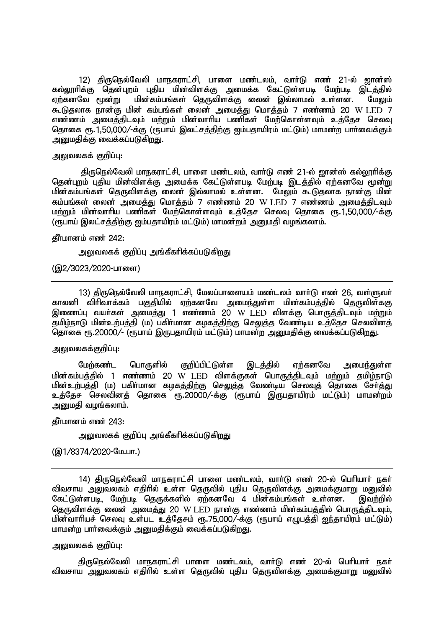12) திருநெல்வேலி மாநகராட்சி, பாளை மண்டலம், வாா்டு எண் 21-ல் ஜான்ஸ் கல்லூரிக்கு தென்புறம் புதிய மின்விளக்கு அமைக்க கேட்டுள்ளபடி மேற்படி இடத்தில் <u>ஏற்</u>கனவே மூன்று மின்கம்பங்கள் தெருவிளக்கு லைன் இல்லாமல் உள்ளன. மேலும் \$Ljyhf ehd;F kpd; fk;gq;fs; iyd; mikj;J nkhj;jk; 7 vz;zk; 20 W LED 7 எண்ணம் அமைத்திடவும் மற்றும் மின்வாரிய பணிகள் மேற்கொள்ளவும் உத்தேச செலவு தொகை ரூ. 1,50,000/-க்கு (ரூபாய் இலட்சத்திற்கு ஐம்பதாயிரம் மட்டும்) மாமன்ற பார்வைக்கும் அனுமதிக்கு வைக்கப்படுகிறது.

#### அலுவலகக் குறிப்பு:

திருநெல்வேலி மாநகராட்சி, பாளை மண்டலம், வாா்டு எண் 21-ல் ஜான்ஸ் கல்லூாிக்கு தென்புறம் புதிய மின்விளக்கு அமைக்க கேட்டுள்ளபடி மேற்படி இடத்தில் ஏற்கனவே மூன்று மின்கம்பங்கள் தெருவிளக்கு லைன் இல்லாமல் உள்ளன. மேலும் கூடுதலாக நான்கு மின் கம்பங்கள் லைன் அமைத்து மொத்தம் 7 எண்ணம் 20 W LED 7 எண்ணம் அமைத்திடவும் மற்றும் மின்வாரிய பணிகள் மேற்கொள்ளவும் உத்தேச செலவு தொகை ரூ.1,50,000/-க்கு (ரூபாய் இலட்சத்திற்கு ஐம்பதாயிரம் மட்டும்) மாமன்றம் அறையதி வழங்கலாம்.

#### தீர்மானம் எண் 242:

அலுவலகக் குறிப்பு அங்கீகரிக்கப்படுகிறது

## (இ2/3023/2020-பாளை)

13) திருநெல்வேலி மாநகராட்சி, மேலப்பாளையம் மண்டலம் வார்டு எண் 26, வள்ளுவர் காலனி விரிவாக்கம் பகுதியில் ஏற்கனவே அமைந்துள்ள மின்கம்பத்தில் தெருவிள்ககு இணைப்பு வயா்கள் அமைத்து 1 எண்ணம் 20 W LED விளக்கு பொருத்திடவும் மற்றும் தமிழ்நாடு மின்உற்பத்தி (ம) பகிர்மான கமகத்திற்கு செலுத்த வேண்டிய உத்தேச செலவினத் njhif &.20000/- (&gha; ,Ugjhapuk; kl;Lk;) khkd;w mDkjpf;F itf;fg;gLfpwJ.

## அலுவலகக்குறிப்பு:

மேற்கண்ட பொருளில் குறிப்பிட்டுள்ள இடத்தில் ஏற்கனவே அமைந்துள்ள மின்கம்பத்தில் 1 எண்ணம் 20 W LED விளக்குகள் பொருத்திடவும் மற்றும் தமிழ்நாடு <u>மின்உற்பத்தி</u> (ம) பகிர்மான கழகத்திற்கு செ<u>லு</u>த்த வேண்டிய செலவுத் தொகை சேர்த்து உத்தேச செலவினத் தொகை ரூ.20000/-க்கு (ரூபாய் இருபதாயிரம் மட்டும்) மாமன்றம் அறைமதி வழங்கலாம்.

கீர்மானம் எண் $243:$ 

அலுவலகக் குறிப்பு அங்கீகரிக்கப்படுகிறது

(இ1/8374/2020-மே.பா.)

14) திருநெல்வேலி மாநகராட்சி பாளை மண்டலம், வார்டு எண் 20-ல் பெரியார் நகர் விவசாய அலுவலகம் எதிரில் உள்ள தெருவில் புதிய தெருவிளக்கு அமைக்குமாறு மனுவில்<br>கேட்டுள்ளபடி, மேற்படி தெருக்களில் எற்கனவே 4 மின்கம்பங்கள் உள்ளன. இவற்றில் .<br>கேட்டுள்ளபடி, மேற்படி தெருக்களில் ஏற்கனவே 4 மின்கம்பங்கள் உள்ளன. தெருவிளக்கு லைன் அமைத்து 20 W LED நான்கு எண்ணம் மின்கம்பத்தில் பொருத்திடவும். மின்வாரியச் செலவு உள்பட உத்தேசம் ரூ.75,000/-க்கு (ரூபாய் எழுபத்தி ஐந்தாயிரம் மட்டும்) மாமன்ற பார்வைக்கும் அறுமதிக்கும் வைக்கப்படுகிறது.

## அலுவலகக் குறிப்பு:

திருநெல்வேலி மாநகராட்சி பாளை மண்டலம், வார்டு எண் 20-ல் பெரியார் நகர் <u>விவசாய அலுவலகம் எதி</u>ரில் உள்ள தெருவில் புதிய தெருவிளக்கு அமைக்குமாறு மனுவில்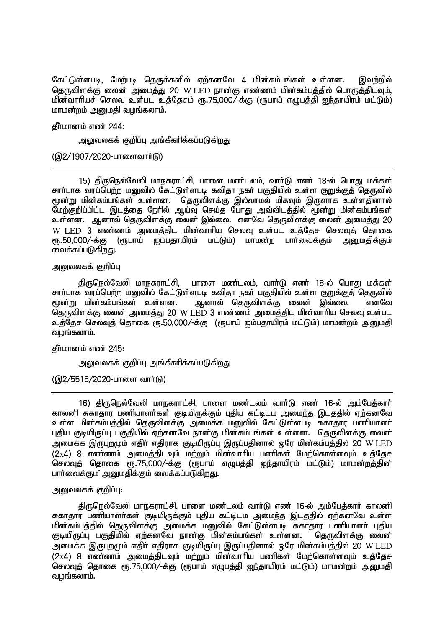கேட்டுள்ளபடி, மேற்படி தெருக்களில் ஏற்கனவே 4 மின்கம்பங்கள் உள்ளன. இவற்றில் தெருவிளக்கு லைன் அமைத்து 20 W LED நான்கு எண்ணம் மின்கம்பத்தில் பொருத்திடவும், மின்வாரியச் செலவு உள்பட உத்தேசம் ரூ.75,000/-க்கு (ரூபாய் எழுபத்தி ஐந்தாயிரம் மட்டும்) மாமன்றம் அறைமதி வழங்கலாம்.

## **தீர்மானம் எண் 244:**

அலுவலகக் குறிப்பு அங்கீகரிக்கப்படுகிறது

(இ2/1907/2020-பாளைவாா்டு)

15) திருநெல்வேலி மாநகராட்சி, பாளை மண்டலம், வார்டு எண் 18-ல் பொது மக்கள் சாா்பாக வரப்பெற்ற மறுவில் கேட்டுள்ளபடி கவிதா நகா் பகுதியில் உள்ள குறுக்குத் தெருவில் மூன்று மின்கம்பங்கள் உள்ளன. தொடவிளக்கு இல்லாமல் மிகவும் இருளாக உள்ளகினால் மேற்குறிப்பிட்ட இடத்தை நேரில் ஆய்வு செய்த போது அவ்விடத்தில் மூன்று மின்கம்பங்கள் உள்ளன. ஆனால் தெருவிளக்கு லைன் இல்லை. எனவே தெருவிளக்கு லைன் அமைத்து 20 W LED 3 எண்ணம் அமைத்திட மின்வாரிய செலவு உள்பட உத்தேச செலவுத் தொகை<br>ரூ.50,000/-க்கு (ரூபாய் ஐம்பதாயிரம் மட்டும்) மாமன்ற பாா்வைக்கும் அனுமதிக்கும் ரு.50,000/-க்கு (ரூபாய் ஐம்பதாயிரம் மட்டும்) மாமன்ற பார்வைக்கும் வைக்கப்படுகிறது.

அலுவலகக் குறிப்பு

திருநெல்வேலி மாநகராட்சி, பாளை மண்டலம், வார்டு எண் 18-ல் பொது மக்கள் சாா்பாக வரப்பெற்ற மனுவில் கேட்டுள்ளபடி கவிதா நகா் பகுதியில் உள்ள குறுக்குத் தெருவில்<br>மூன்று மின்கம்பங்கள் உள்ளன. அனால் தெருவிளக்கு லைன் இல்லை. எனவே ஆனால் தெருவிளக்கு லைன் இல்லை. தெருவிளக்கு லைன் அமைத்து 20 W LED 3 எண்ணம் அமைத்திட மின்வாரிய செலவு உள்பட உத்தேச செலவுத் தொகை ரூ.50,000/-க்கு (ரூபாய் ஐம்பதாயிரம் மட்டும்) மாமன்றம் அனுமதி வமங்கலாம்.

கீர்மானம் எண் $245:$ 

அலுவலகக் குறிப்பு அங்கீகரிக்கப்படுகிறது

(இ2/5515/2020-பாளை வார்டு)

16) திருநெல்வேலி மாநகராட்சி, பாளை மண்டலம் வார்டு எண் 16-ல் அம்பேத்கார் காலனி சுகாதார பணியாளர்கள் குடியிருக்கும் புதிய கட்டிடம அமைந்த இடததில் ஏற்கனவே உள்ள மின்கம்பத்தில் தெருவிளக்கு அமைக்க மனுவில் கேட்டுள்ளபடி சுகாதார பணியாளர் புதிய குடியிருப்பு பகுதியில் ஏற்கனவே நான்கு மின்கம்பங்கள் உள்ளன. தெருவிளக்கு லைன் அமைக்க இருபுறமும் எதிா் எதிராக குடியிருப்பு இருப்பதினால் ஒரே மின்கம்பத்தில் 20 W LED  $(2x4)$  8 எண்ணம் அமைக்கிடவும் மற்றும் மின்வாரிய பணிகள் மேற்கொள்ளவும் உக்கேச செலவுத் தொகை ரூ.75,000/-க்கு (ரூபாய் எழுபத்தி ஐந்தாயிரம் மட்டும்) மாமன்றத்தின் பார்வைக்கும அனுமதிக்கும் வைக்கப்படுகிறது.

## அலுவலகக் குறிப்ப $:$

திருநெல்வேலி மாநகராட்சி, பாளை மண்டலம் வார்டு எண் 16-ல் அம்பேத்கார் காலனி சுகாதார பணியாளர்கள் குடியிருக்கும் புதிய கட்டிடம அமைந்த இடததில் ஏற்கனவே உள்ள <u>மின்கம்பத்தி</u>ல் தெருவிளக்கு அமைக்க மனுவில் கேட்டுள்ளபடி சுகாதார பணியாளா் புதிய குடியிருப்பு பகுதியில் ஏற்கனவே நான்கு மின்கம்பங்கள் உள்ளன. கெருவிளக்கு லைன் அமைக்க இருபுறமும் எதிா் எதிராக குடியிருப்பு இருப்பதினால் ஒரே மின்கம்பத்தில் 20 W LED  $(2x4)$  8 எண்ணம் அமைக்கிடவும் மற்றும் மின்வாரிய பணிகள் மேற்கொள்ளவும் உக்கேச செலவுத் தொகை ரூ.75,000/-க்கு (ரூபாய் எழுபத்தி ஐந்தாயிரம் மட்டும்) மாமன்றம் அனுமதி வழங்கலாம்.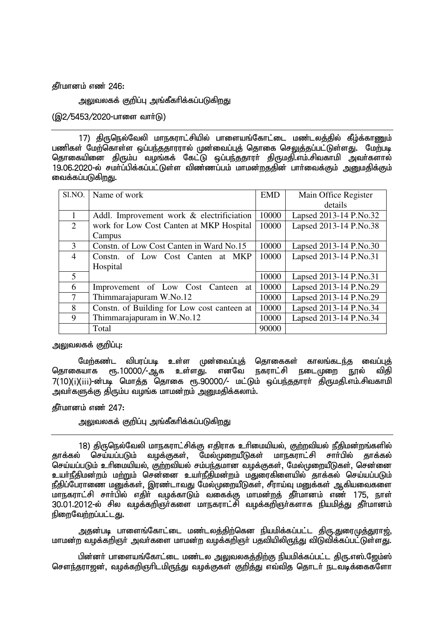கீர்மானம் எண் $246:$ 

அலுவலகக் குறிப்பு அங்கீகரிக்கப்படுக<u>ிறத</u>ு

(இ2/5453/2020-பாளை வார்டு)

17) கிருடுநல்வேலி மாநகராட்சியில் பாளையங்கோட்டை மண்டலக்கில் கீம்க்காணும் பணிகள் மேற்கொள்ள ஒப்பந்ததாரரால் முன்வைப்புத் தொகை செலுத்தப்பட்டுள்ளது. மேற்படி தொகையினை திரும்ப வழங்கக் கேட்டு ஒப்பந்ததாரா் திருமதி.எம்.சிவகாமி அவா்களால் 19.06.2020-ல் சமாப்பிக்கப்பட்டுள்ள விண்ணப்பம் மாமன்றததின் பாா்வைக்கும் அறுமதிக்கும் வைக்கப்படுகிறது.

| Sl.NO.         | Name of work                                | <b>EMD</b> | Main Office Register   |
|----------------|---------------------------------------------|------------|------------------------|
|                |                                             |            | details                |
|                | Addl. Improvement work & electrificiation   | 10000      | Lapsed 2013-14 P.No.32 |
| 2              | work for Low Cost Canten at MKP Hospital    | 10000      | Lapsed 2013-14 P.No.38 |
|                | Campus                                      |            |                        |
| $\mathcal{E}$  | Constn. of Low Cost Canten in Ward No.15    | 10000      | Lapsed 2013-14 P.No.30 |
| $\overline{4}$ | Constn. of Low Cost Canten at MKP           | 10000      | Lapsed 2013-14 P.No.31 |
|                | Hospital                                    |            |                        |
| 5              |                                             | 10000      | Lapsed 2013-14 P.No.31 |
| 6              | Improvement of Low Cost Canteen<br>at       | 10000      | Lapsed 2013-14 P.No.29 |
| 7              | Thimmarajapuram W.No.12                     | 10000      | Lapsed 2013-14 P.No.29 |
| 8              | Constn. of Building for Low cost canteen at | 10000      | Lapsed 2013-14 P.No.34 |
| 9              | Thimmarajapuram in W.No.12                  | 10000      | Lapsed 2013-14 P.No.34 |
|                | Total                                       | 90000      |                        |

அலுவலகக் குறிப்பு:

மேற்கண்ட விபரப்படி உள்ள முன்வைப்புத் தொகைகள் காலங்கடந்த வைப்புத்<br>தொகையாக ரூ.10000/-ஆக உள்ளது. எனவே நகராட்சி நடைமுறை நூல் விதி நகராட்சி நடைமுறை நூல் விதி 7(10)(i)(iii)-ன்படி மொத்த தொகை ரூ.90000/- மட்டும் ஒப்பந்ததாரா் திருமதி.எம்.சிவகாமி <u>அவர்களுக்கு</u> திரும்ப வழங்க மாமன்றம் அறுமதிக்கலாம்.

தீர்மானம் எண் $247:$ 

அலுவலகக் குறிப்பு அங்கீகரிக்கப்படுகிறது

18) திருநெல்வேலி மாநகராட்சிக்கு எதிராக உரிமையியல், குற்றவியல் நீதிமன்றங்களில் தாக்கல் செய்யப்படும் வழக்குகள், மேல்முறையீடுகள் மாநகராட்சி சாா்பில் தாக்கல் செய்யப்படும் உரிமையியல், குற்றவியல் சம்பந்தமான வழக்குகள், மேல்முறையீடுகள், சென்னை உயர்நீதிமன்றம் மற்றும் சென்னை உயர்நீதிமன்றம் மதுரைகிளையில் தாக்கல் செய்யப்படும் நீதிப்பேராணை மனுக்கள், இரண்டாவது மேல்முறையீடுகள், சீராய்வு மனுக்கள் ஆகியவைகளை ் சார்ப் சார்பில் எதிர் வழக்காடும் வகைக்கு மாமன்றத் தீர்மானம் எண் 175, நாள் 30.01.2012-ல் சில வழக்கறிஞா்களை மாநகராட்சி வழக்கறிஞா்களாக நியமித்து தீா்மானம் நிறைவேற்றப்பட்டது.

அதன்படி பாளைங்கோட்டை மண்டலத்திற்கென நியமிக்கப்பட்ட திரு.துரைமுத்துராஜ், மாமன்ற வழக்கறிஞர் அவர்களை மாமன்ற வழக்கறிஞர் பதவியிலிருந்து விடுவிக்கப்பட்டுள்ளது.

பின்னா் பாளையங்கோட்டை மண்டல அலுவலகத்திற்கு நியமிக்கப்பட்ட திரு.எஸ்.ஜேம்ஸ் சௌந்தராஜன், வழக்கறிஞரிடமிருந்து வழக்குகள் குறித்து எவ்வித தொடர் நடவடிக்கைகளோ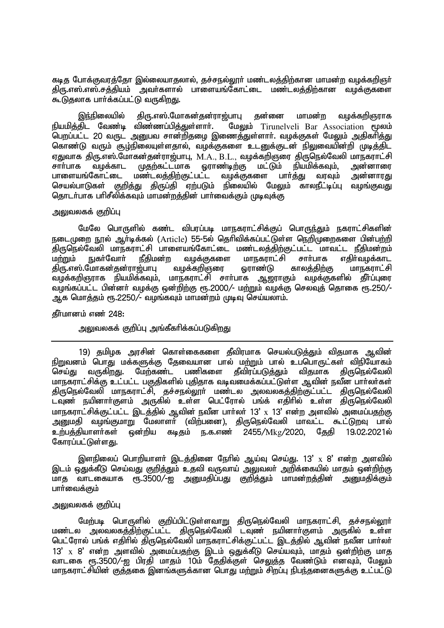கடித போக்குவரத்தோ இல்லையாதலால், தச்சநல்லூர் மண்டலத்திற்கான மாமன்ற வழக்கறிஞர் திரு.எஸ்.எஸ்.சத்தியம் ஆவர்களால் பாளையங்கோட்டை மண்டலத்திற்கான வமக்குகளை கூடுதலாக பார்க்கப்பட்டு வருகிறது.

இந்நிலையில் திரு.எஸ்.மோகன்தன்ராஜ்பாபு தன்னை மாமன்ற வழக்கறிஞராக நியமித்திட வேண்டி விண்ணப்பித்துள்ளார். மேலும் Tirunelveli Bar Association மூலம் .<br>பெறப்பட்ட 20 வருட அனுபவ சான்றிதழை இணைத்துள்ளாா். வழக்குகள் மேலும் அதிகாித்து <u>கொண்டு வரும் சூழ்நிலையுள்ளதால், வழக்குகளை உடனுக்குடன் நிலுவையின்றி முடித்திட</u> VJthf jpU.v];.Nkhfd;jd;uh[;ghG> M.A., B.L., tof;fwpQiu jpUney;Ntyp khefuhl;rp சாா்பாக வழக்காட முதற்கட்டமாக ஓராண்டிற்கு மட்டும் நியமிக்கவும், அன்னாரை<br>பாளையங்கோட்டை மண்டலக்கிா்குட்பட்ட வமக்குகளை பாா்க்கு வாவம் அன்னாாகு பாளையங்கோட்டை மண்டலத்திற்குட்பட்ட<br>செயல்பாடுகள் குறிக்கு கிருப்கி எற்படும் ்குறிக்கு கிருப்கி எற்படும் நிலையில் மேலும் காலநீட்டிப்பு வமங்குவது தொடர்பாக பரிசீலிக்கவும் மாமன்றத்தின் பார்வைக்கும் முடிவுக்கு

### அலுவலகக் குறிப்பு

மேலே பொருளில் கண்ட விபரப்படி மாநகராட்சிக்குப் பொருந்தும் நகராட்சிகளின் நடைமுறை நூல் ஆர்டிக்கல் (Article) 55-5ல் தெரிவிக்கப்பட்டுள்ள நெறிமுறைகளை பின்பற்றி .<br>திருநெல்வேலி மாநகராட்சி பாளையங்கோட்டை மண்டலத்திற்குட்பட்ட மாவட்ட நீதிமன்றம்<br>மற்றும் நுகர்வோர் நீதிமன்ற வழக்குகளை மாநகராட்சி சார்பாக எகிர்வமக்காட ்வழக்குகளை மாநகராட்சி சாா்பாக எதிா்வழக்காட<br>வழக்கறிஞரை ஓராண்டு காலத்திற்கு மாநகராட்சி திரு.எஸ்.மோகன்தன்ராஜ்பாபு வழக்கறிஞரை ஓராண்டு காலத்திற்கு மாநகராட்சி<br>வமக்கறிஞராக நியமிக்கவும் மாநகராட்சி சார்பாக ஆறாாகும் வமக்குகளில் கீர்ப்புரை வழக்கறிஞராக நியமிக்கவும், மாநகராட்சி சார்பாக ஆஜராகும் வழங்கப்பட்ட பின்னர் வழக்கு ஒன்றிற்கு ரூ.2000/- மற்றும் வழக்கு செலவுத் தொகை ரூ.250/-ஆக மொத்தம் ரூ.2250/- வழங்கவும் மாமன்றம் முடிவு செய்யலாம்.

#### கீர்மானம் எண் $248$ :

# அலுவலகக் குறிப்பு அங்கீகரிக்கப்படுகிறது

19) தமிழக அரசின் கொள்கைகளை தீவிரமாக செயல்படுத்தும் விதமாக ஆவின் நிறுவனம் பொது மக்களுக்கு தேவையான பால் மற்றும் பால் உப்பொருட்கள் விநியோகம்<br>செய்து வருகிறது. மேற்கண்ட பணிகளை கீவிரப்படுக்கும் விதமாக கிருநெல்வேலி .<br>செய்து வருகிறது. மேற்கண்ட பணிகளை மாநகராட்சிக்கு உட்பட்ட பகுதிகளில் புதிதாக வடிவமைக்கப்பட்டுள்ள ஆவின் நவீன பார்லர்கள் கிருரெல்வேலி மாநகராட்சி, குச்சநல்லார் மண்டல அலவலகக்கிற்குட்பட்ட கிருநெல்வேலி .<br>டவுண் நயினாா்குளம் அருகில் உள்ள பெட்ரோல் பங்க் எதிாில் உள்ள திருநெல்வேலி மாநகராட்சிக்குட்பட்ட இடத்தில் ஆவின் நவீன பார்லர் 13' x 13' என்ற அளவில் அமைப்பதற்கு அனுமதி வழங்குமாறு மேலாளா் (விற்பனை), திருநெல்வேலி மாவட்ட கூட்டுறவு பால்<br>உற்பக்கியாளா்கள் ஒன்றிய கடிகம் ந.க.எண் 2455/Mko/2020, கேகி 19.02.2021ல் ைன்றிய கடிகம் ந.க.எண் 2455/Mk*9*/2020, கேகி 19.02.2021ல் கோரப்பட்டுள்ளகு.

இளநிலைப் பொறியாளர் இடத்தினை நேரில் ஆய்வு செய்து. 13'  $\mathrm{x}$  8' என்ற அளவில் இடம் ஒதுக்கீடு செய்வது குறித்தும் உதவி வருவாய் அலுவலர் அறிக்கையில் மாதம் ஒன்றிற்கு மாகு வாடகையாக ரூ.3500/-ஐ அறுமதிப்பது குறித்தும் மாமன்றத்தின் அறுமதிக்கும் பார்வைக்கும்

## ுலவலகக் குறிப்ப

மேற்படி பொருளில் குறிப்பிட்டுள்ளவாறு திருநெல்வேலி மாநகராட்சி, தச்சநல்லூா் மண்டல அலவலகத்திற்குட்பட்ட திருநெல்வேலி டவுண் நயினாா்குளம் அருகில் உள்ள பெட்ரோல் பங்க் எதிரில் திருநெல்வேலி மாநகராட்சிக்குட்பட்ட இடத்தில் ஆவின் நவீன பாா்லா்  $13^{\prime}$   $\,$   $\rm x$   $\,$   $\rm 8^{\prime}$  என்ற அளவில் அமைப்பதற்கு இடம் ஒதுக்கீடு செய்யவும், மாதம் ஒன்றிற்கு மாத வாடகை ரூ.3500/-ஐ பிரதி மாதம் 10ம் கேதிக்குள் செலுக்க வேண்டும் எனவும் மேலும் மாநகராட்சியின் குத்தகை இனங்களுக்கான பொது மற்றும் சிறப்பு நிபந்தனைகளுக்கு உட்பட்டு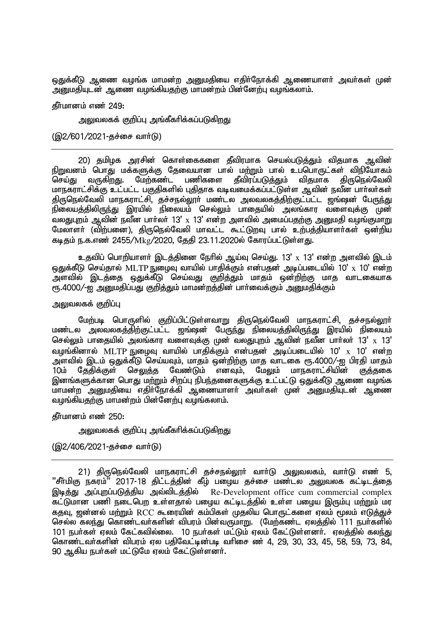ஒதுக்கீடு ஆணை வழங்க மாமன்ற அனுமதியை எதிர்நோக்கி ஆணையாளர் அவர்கள் முன் ுறுமதியுடன் ஆணை வழங்கியதற்கு மாமன்றம் பின்னேற்பு வழங்கலாம்.

 $f$ ளீமானம் எண் $249:$ 

அலுவலகக் குறிப்பு அங்கீகரிக்கப்படுகிறது

 $(Q)2/601/2021$ -சுச்சை வார்டு)

20) தமிழக அரசின் கொள்கைகளை தீவிரமாக செயல்படுத்தும் விதமாக ஆவின் நிறுவனம் பொது மக்களுக்கு தேவையான பால் மற்றும் பால் உப்பொருட்கள் விநியோகம்<br>செய்கு வாகிறது. மேற்கண்ட பணிகளை கீவிாப்படுக்கும் விகமாக கிருகொல்வேலி செய்து வருகிறது. மேற்கண்ட பணிகளை தீவிரப்படுத்தும் மாநகராட்சிக்கு உட்பட்ட பகுதிகளில் புதிதாக வடிவமைக்கப்பட்டுள்ள ஆவின் நவீன பார்லர்கள் திருநெல்வேலி மாநகராட்சி, தச்சநல்லூா் மண்டல அலவலகத்திற்குட்பட்ட ஜங்ஷன் பே<u>ருந்து</u> .<br>நிலையத்திலிருந்து இரயில் நிலையம் செல்லும் பாதையில் அலங்கார வளைவுக்கு முன் வலதுபுறம் ஆவின் நவீன பார்லர் 13'  $\mathrm{x}$  13' என்ற அளவில் அமைப்பதற்கு அனுமதி வழங்குமாறு மேலாளா் (விற்பனை), திருநெல்வேலி மாவட்ட கூட்டுறவு பால் உற்பத்தியாளா்கள் ஒன்றிய கடிதம் ந.க.எண் 2455/Mkg/2020, தேதி 23.11.2020ல் கோரப்பட்டுள்ளது.

உதவிப் பொறியாளர் இடத்தினை நேரில் ஆய்வு செய்து. 13' x 13' என்ற அளவில் இடம் ஒதுக்கீடு செய்தால் MLTP நுழைவு வாயில் பாதிக்கும் என்பதன் அடிப்படையில் 10'  $_{\rm X}$  10' என்ற ு ,<br>அளவில் இடத்தை ஒதுக்கீடு செய்வது குறித்தும் மாதம் ஒன்றிற்கு மாத வாடகையாக ரு.4000/-ஐ அனுமதிப்பது குறித்தும் மாமன்றத்தின் பார்வைக்கும் அனுமதிக்கும்

<u>அலுவலகக் குறிப்பு</u>

மேற்படி பொருளில் குறிப்பிட்டுள்ளவாறு திருநெல்வேலி மாநகராட்சி, தச்சநல்லூர் ் மண்டல அல்வலகத்திற்குட்பட்ட ஜங்ஷன் பேருந்து நிலையத்திலிருந்து இரயில் நிலையம் செல்லும் பாதையில் அலங்கார வளைவுக்கு முன் வலதுபுறம் ஆவின் நவீன பார்லர் 13'  $_{\mathrm{X}}$  13' வழங்கினால்  $\rm MLTP$  நுழைவு வாயில் பாதிக்கும் என்பதன் அடிப்படையில் 10'  $\rm x$  10' என்ற அளவில் இடம் ஒதுக்கீடு செய்யவும், மாதம் ஒன்றிற்கு மாத வாடகை ரூ.4000/-ஐ பிரதி மாதம்<br>10ம் கேதிக்குள் செலுத்த வேண்டும் எனவும். மேலும் மாநகராட்சியின் குத்தகை 10ம் தேதிக்குள் செலுத்த வேண்டும் எனவும், மேலும் மாநகராட்சியின் குத்தகை ் இனங்களுக்கான பொகு மற்றும் சிறப்பு நிபந்தனைகளுக்கு உட்பட்டு ஒதுக்கீடு ஆணை வழங்க மாமன்ற அனுமதியை எதிர்நோக்கி ஆணையாளர் அவர்கள் முன் அனுமதியுடன் ஆணை வழங்கியதற்கு மாமன்றம் பின்னேற்பு வழங்கலாம்.

கீர்மானம் எண் $250:$ 

அலுவலகக் குறிப்பு அங்கீகரிக்கப்படுகிறது

 $(Q)2/406/2021$ -தச்சை வார்டு)

21) திருநெல்வேலி மாநகராட்சி தச்சநல்லூர் வார்டு அலுவலகம், வார்டு எண் 5, ''சீா்மிகு நகரம்'' 2017-18 திட்டத்தின் கீழ் பழைய தச்சை மண்டல அலுவலக கட்டிடத்தை<br>இடித்து அப்புறப்படுத்திய அவ்விடத்தில் Re-Development office cum commercial complex Re-Development office cum commercial complex ்கட்டுமான பணி நடைபெற உள்ளதால் பழைய கட்டிடத்தில் உள்ள பழைய இரும்பு மற்றும் மர கதவு, ஜன்னல் மற்றும் RCC கூரையின் கம்பிகள் முதலிய பொருட்களை ஏலம் மூலம் எடுத்துச் செல்ல கலந்து கொண்டவர்களின் விபரம் பின்வருமாறு. (மேற்கண்ட ஏலத்தில் 111 நபர்களில் 101 நபர்கள் ஏலம் கேட்கவில்லை. 10 நபர்கள் மட்டும் ஏலம் கேட்டுள்ளனர். ஏலத்தில் கலந்து கொண்டவர்களின் விபரம் ஏல பதிவேட்டின்படி வரிசை ண் 4, 29, 30, 33, 45, 58, 59, 73, 84, 90 ஆகிய நபர்கள் மட்டுமே ஏலம் கேட்டுள்ளனர்.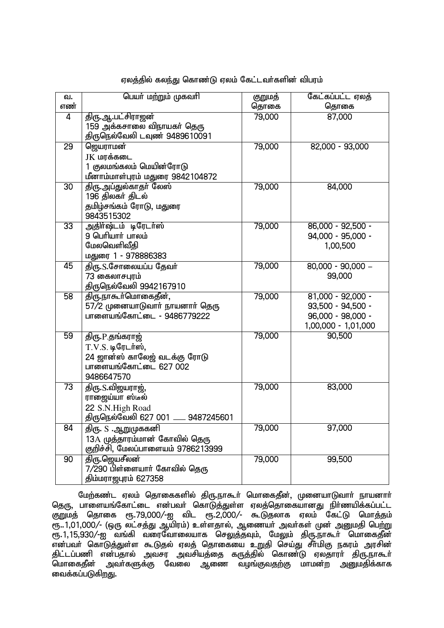| வ.<br>எண்       | பெயர் மற்றும் முகவரி                                                                                          | குறுமத்<br>தொகை | கேட்கப்பட்ட ஏலத்<br>தொகை                                                             |
|-----------------|---------------------------------------------------------------------------------------------------------------|-----------------|--------------------------------------------------------------------------------------|
| 4               | <u>திரு.ஆ.பட்சிராஜன்</u><br>159 அக்கசாலை விநாயகர் தெரு<br>திருநெல்வேலி டவுண் 9489610091                       | 79,000          | 87,000                                                                               |
| 29              | ஜெயராமன்<br>JK மரக்கடை<br>1 குலமங்கலம் மெயின்ரோடு<br>மீனாம்மாள்புரம் மதுரை 9842104872                         | 79,000          | 82,000 - 93,000                                                                      |
| $\overline{30}$ | திரு.அப்துல்காதா் லேஸ்<br>196 திலகர் திடல்<br>தமிழ்சங்கம் ரோடு, மதுரை<br>9843515302                           | 79,000          | 84,000                                                                               |
| 33              | அதிர்ஷ்டம் டிரேடர்ஸ்<br>9 பெரியார் பாலம்<br>மேலவெளிவீதி<br>மதுரை 1 - 978886383                                | 79,000          | $86,000 - 92,500 -$<br>94,000 - 95,000 -<br>1,00,500                                 |
| 45              | திரு. S.சோலையப்ப தேவர்<br>73 கைலாசபுரம்<br>திருநெல்வேலி 9942167910                                            | 79,000          | $80,000 - 90,000 -$<br>99,000                                                        |
| $\overline{58}$ | திரு.நாகூர்மொகைதீன்,<br>57/2 முனையாடுவாா் நாயனாா் தெரு<br>பாளையங்கோட்டை - 9486779222                          | 79,000          | $81,000 - 92,000 -$<br>93,500 - 94,500 -<br>96,000 - 98,000 -<br>1,00,000 - 1,01,000 |
| 59              | திரு.P.தங்கராஜ்<br>$T.V.S.$ டிரேடர்ஸ்,<br>24 ஜான்ஸ் காலேஜ் வடக்கு ரோடு<br>பாளையங்கோட்டை 627 002<br>9486647570 | 79,000          | 90,500                                                                               |
| 73              | திரு. S.விஜயராஜ்,<br>ராஜைய்யா ஸ்டீல்<br>22 S.N.High Road<br>திருநெல்வேலி 627 001 ____ 9487245601              | 79,000          | 83,000                                                                               |
| $\overline{84}$ | திரு. S .ஆறுமுககனி<br>13A முத்தாரம்மான் கோவில் தெரு<br>குறிச்சி, மேலப்பாளையம் 9786213999                      | 79,000          | 97,000                                                                               |
| 90              | <u>திரு.ஜெயசீலன்</u><br>7/290 பிள்ளையாா் கோவில் தெரு<br>திம்மராஜபுரம் 627358                                  | 79,000          | 99,500                                                                               |

## ஏலத்தில் கலந்து கொண்டு ஏலம் கேட்டவர்களின் விபரம்

மேற்கண்ட ஏலம் தொகைகளில் திரு.நாகூர் மொகைதீன், முனையாடுவார் நாயனார் தெரு, பாளையங்கோட்டை என்பவர் கொடுத்துள்ள ஏலத்தொகையானது நிர்ணயிக்கப்பட்ட குறுமத் தொகை ரூ.79,000/-ஐ விட ரூ.2,000/- கூடுதலாக ஏலம் கேட்டு மொத்தம் ரூ..1,01,000/- (ஒரு லட்சத்து ஆயிரம்) உள்ளதால், ஆணையர் அவர்கள் முன் அனுமதி பெற்று ரு. 1, 15,930/-ஐ வங்கி வரைவோலையாக செலுத்தவும், மேலும் திரு.நாகூர் மொகைதீன் ்பை படம் படம் படம் கடித்துள்ள கூடுதல் ஏலத் தொகையை உறுதி செய்து சீர்மிகு நகரம் அரசின் திட்டப்பணி என்பதால் அவசர அவசியத்தை கருத்தில் கொண்டு ஏலதாரா் திரு.நாகூா் மொகைதீன் அவர்களுக்கு வேலை ஆணை வழங்குவதற்கு மாமன்ற அனுமதிக்காக வைக்கப்படுகிறது.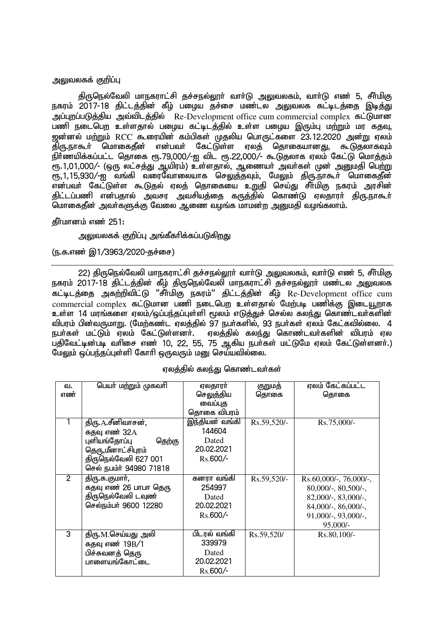#### அலுவலகக் குறிப்பு

திருநெல்வேலி மாநகராட்சி தச்சநல்லூர் வார்டு அலுவலகம், வார்டு எண் 5, சீர்மிகு நகரம் 2017-18 திட்டத்தின் கீழ் பழைய தச்சை மண்டல அலுவலக கட்டிடத்தை இடித்து அப்புறப்படுத்திய அவ்விடத்தில் Re-Development office cum commercial complex கட்டுமான பணி நடைபெற உள்ளதால் பழைய கட்டிடத்தில் உள்ள பழைய இரும்பு மற்றும் மர கதவு, <u>ஜன்னல் மற்றும் RCC கூரையின் கம்பிகள் மு</u>தலிய பொருட்களை 23.12.2020 அன்று ஏலம் jpU.eh\$h; nkhifjPd; vd;gth; Nfl;Ls;s Vyj; njhifahdJ> \$LjyhfTk;  $\overline{B}$ ர்ணயிக்கப்பட்ட தொகை ரூ.79,000/-ஐ விட ரூ.22,000/- கூடுதலாக ஏலம் கேட்டு மொத்தம்  $\overline{R}$ .1.01.000/- (ஒரு லட்சத்து ஆயிரம்) உள்ளதால், ஆணையா் அவா்கள் முன் அனுமதி பெற்று கு பிரித்தன் குடுமான பார்ப்பாக குடித்தவும், மேலும் திருநாகூர் மொகைதீன் ் என்பவர் கேட்டுள்ள கூடுகல் எலக் கொகையை உறுதி செய்து சீர்மிகு நகரம் அரசின் திட்டப்பணி என்பதால் அவசர அவசியத்தை கருத்தில் கொண்டு ஏலதாரா் திரு.நாகூா் மொகைதீன் அவர்களுக்கு வேலை ஆணை வழங்க மாமன்ற அனுமதி வழங்கலாம்.

#### கீர்மானம் எண் $251$ :

அலுவலகக் குறிப்பு அங்கீகரிக்கப்படுக<u>ிறத</u>ு

(ந.க.எண் இ1/3963/2020-குச்சை)

22) திருநெல்வேலி மாநகராட்சி தச்சநல்லூர் வார்டு அலுவலகம், வார்டு எண் 5, சீர்மிகு நகரம் 2017-18 திட்டத்தின் கீழ் திருநெல்வேலி மாநகராட்சி தச்சநல்லூா் மண்டல அலுவலக கட்டிடத்தை அகற்றிவிட்டு "சீர்மிகு நகரம்" திட்டத்தின் கீழ் Re-Development office cum  $\overline{\text{commercial complex}}$  கட்டுமான பணி நடைபெற உள்ளதால் மேற்படி பணிக்கு இடையூறாக உள்ள 14 மரங்களை ஏலம்/ஒப்பந்தப்புள்ளி மூலம் எடுத்துச் செல்ல கலந்து கொண்டவர்களின் <u>விப</u>ாம் பின்வருமாறு. (மேற்கண்ட எலக்கில் 97 நபர்களில், 93 நபர்கள் எலம் கேட்கவில்லை. 4 நபர்கள் மட்டும் ஏலம் கேட்டுள்ளனர். ஏலத்தில் கலந்து கொண்டவர்களின் விபரம் ஏல பதிவேட்டின்படி வரிசை எண் 10, 22, 55, 75 ஆகிய நபர்கள் மட்டுமே ஏலம் கேட்டுள்ளனர்.) மேலும் ஒப்பந்தப்புள்ளி கோரி ஒருவரும் மனு செய்யவில்லை.

| வ.             | பெயர் மற்றும் முகவரி    | ஏலதாரர்        | குறுமத்     | ஏலம் கேட்கப்பட்ட          |
|----------------|-------------------------|----------------|-------------|---------------------------|
| எண்            |                         | செலுத்திய      | தொகை        | தொகை                      |
|                |                         | வைப்புத        |             |                           |
|                |                         | தொகை விபரம்    |             |                           |
|                | திரு. A.சீனிவாசன்,      | இந்தியன் வங்கி | Rs.59,520/- | Rs.75,000/-               |
|                | கதவு எண் 32A            | 144604         |             |                           |
|                | புளியங்தோப்பு<br>தெற்கு | Dated          |             |                           |
|                | தெரு,மீனாட்சிபுரம்      | 20.02.2021     |             |                           |
|                | திருநெல்வேலி 627 001    | Rs.600/-       |             |                           |
|                | செல் நபம்ர் 94980 71818 |                |             |                           |
| $\overline{2}$ | திரு.சு.குமார்,         | கனரா வங்கி     | Rs.59,520/- | $Rs.60,000/$ -, 76,000/-, |
|                | கதவு எண் 26 பாபா தெரு   | 254997         |             | $80,000/$ -, $80,500/$ -, |
|                | திருநெல்வேலி டவுண்      | Dated          |             | $82,000/$ -, $83,000/$ -, |
|                | செல்நம்பர் 9600 12280   | 20.02.2021     |             | $84,000/$ -, $86,000/$ -, |
|                |                         | $Rs.600/-$     |             | $91,000/-$ , $93,000/-$ , |
|                |                         |                |             | $95,000/-$                |
| 3              | திரு.M.செய்யது அலி      | பிடரல் வங்கி   | Rs.59,520/  | Rs.80,100/-               |
|                | கதவு எண் 19B/1          | 339979         |             |                           |
|                | பிச்சுவனத் தெரு         | Dated          |             |                           |
|                | பாளையங்கோட்டை           | 20.02.2021     |             |                           |
|                |                         | $Rs.600/-$     |             |                           |

#### ஏலத்தில் கலந்து கொண்டவர்கள்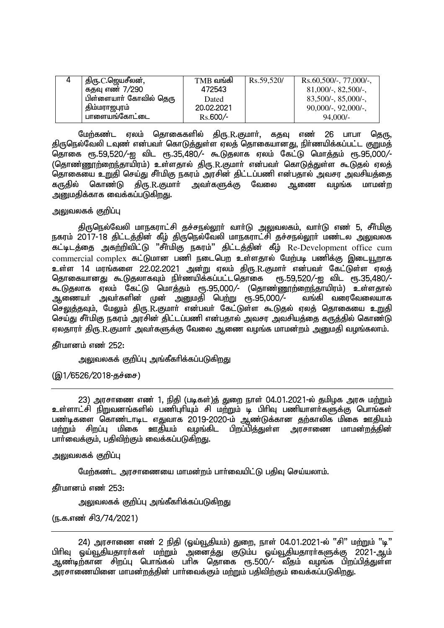| 4 | திரு.C.ஜெயசீலன்,       | $TMB$ வங்கி | Rs.59,520/ | Rs.60,500/-, 77,000/-,    |
|---|------------------------|-------------|------------|---------------------------|
|   | கதவு எண் 7/290         | 472543      |            | $81,000/$ -, $82,500/$ -, |
|   | பிள்ளையாா் கோவில் தெரு | Dated       |            | $83,500/-$ , $85,000/-$ , |
|   | , திம்மராஜபுரம்        | 20.02.2021  |            | $90,000/$ -, $92,000/$ -, |
|   | பாளையங்கோட்டை          | $Rs.600/-$  |            | 94,000/-                  |

மேற்கண்ட ஏலம் தொகைகளில் திரு.R.குமாா், கதவு எண் 26 பாபா தெரு, திருநெல்வேலி டவுண் என்பவர் கொடுத்துள்ள ஏலத் தொகையானது, நிர்ணயிக்கப்பட்ட குறுமத் தொகை ரூ.59,520/-ஐ விட ரூ.35,480/- கூடுதலாக ஏலம் கேட்டு மொத்தம் ரூ.95,000/-(தொண்ணூற்றைந்தாயிரம்) உள்ளதால் திரு.R.குமார் என்பவர் கொடுத்துள்ள கூடுதல் ஏலத் தொகையை உறுதி செய்து சீா்மிகு நகரம் அரசின் திட்டப்பணி என்பதால் அவசர அவசியத்தை<br>கருதில் கொண்டு திரு.R.குமாா் அவா்களுக்கு வேலை ஆணை வழங்க மாமன்ற கருதில் கொண்டு திரு.R.குமார் அவர்களுக்கு வேலை ஆணை வழங்க மாமன்<u>ற</u> ு.<br>அனுமதிக்காக வைக்கப்படுகிறது.

## அலுவலகக் கு**றிப்பு**

திருநெல்வேலி மாநகராட்சி தச்சநல்லூர் வார்டு அலுவலகம், வார்டு எண் 5, சீர்மிகு நகரம் 2017-18 திட்டத்தின் கீழ் திருநெல்வேலி மாநகராட்சி தச்சநல்லூா் மண்டல அலுவலக கட்டிடத்தை அகற்றிவிட்டு "சீர்மிகு நகரம்" திட்டத்தின் கீழ் Re-Development office cum  $\,$  commercial complex கட்டுமான பணி நடைபெற உள்ளதால் மேற்படி பணிக்கு இடையூறாக உள்ள 14 மரங்களை 22.02.2021 அன்று ஏலம் திரு.R.குமார் என்பவர் கேட்டுள்ள ஏலத்<br>தொகையானது கூடுதலாகவும் நிர்ணயிக்கப்பட்டதொகை ரூ.59,520/-ஐ விட ரூ.35,480/-<u>தொகையானது கூடுகுலாகவும் நிர்ணயிக்கப்பட்டதொகை கேர்து க</u> கூடுதலாக ஏலம் கேட்டு மொத்தம் ரூ.95,000⁄- (தொண்ணூற்றைந்தாயிரம்) உள்ளதால்<br>ஆணையர் அவர்களின் முன் அறுமதி பெற்று ரூ.95,000⁄- வங்கி வரைவேலையாக <u>ஆணையா் அவா்களின் முன் அனுமதி பெற்று ரூ.95,000/-</u> செலுத்தவும், மேலும் திரு.R.குமார் என்பவர் கேட்டுள்ள கூடுதல் ஏலத் தொகையை உறுதி செய்து சீர்மிகு நகரம் அரசின் திட்டப்பணி என்பதால் அவசர அவசியத்தை கருத்தில் கொண்டு ஏலதாரா் திரு.R.குமாா் அவா்களுக்கு வேலை ஆணை வழங்க மாமன்றம் அனுமதி வழங்கலாம்.

கீர்மானம் எண் $252$ :

அலுவலகக் குறிப்பு அங்கீகரிக்கப்படுகிறது

 $(Q<sub>1</sub>/6526/2018 - 4)$ 

23) அரசாணை எண் 1, நிதி (படிகள்)த் துறை நாள் 04.01.2021-ல் தமிழக அரசு மற்றும் உள்ளாட்சி நிறுவனங்களில் பணிபுரியும் சி மற்றும் டி பிரிவு பணியாளர்களுக்கு பொங்கள் பண்டிகளை கொண்டாடிட எதுவாக 2019-2020-ம் ஆண்டுக்கான தற்காலிக மிகை ஊதியம் மற்றும் சிறப்பு மிகை ஊதியம் வமங்கிட பிறப்பிக்குள்ள அரசாணை மாமன்றக்கின் பார்வைக்கும், பதிவிற்கும் வைக்கப்படுகிறது.

<u>அலுவலகக் குறிப்பு</u>

மேற்கண்ட அரசாணையை மாமன்றம் பார்வையிட்டு பதிவு செய்யலாம்.

கீர்மானம் எண் $253$ :

அலுவலகக் குறிப்பு அங்கீகரிக்கப்படுகிறது

(ந.க.எண் சி3/74/2021)

<sup>் 24)</sup> அரசாணை எண் 2 நிதி (ஓய்வூதியம்) துறை, நாள் 04.01.2021-ல் "சி" மற்றும் "بو"<br>பிரிவ வய்வூகியகாார்கள் மற்றும் அனைக்கு குடும்ப வய்வூகியகாார்களுக்கு 2021-ஆம் <u>ஒய்வூதியதாரா்கள் மற்றும் அனைத்து குடும்ப ஒய்வூதியதாரா்களுக்கு 2021-ஆம்</u> ஆண்டிற்கான சிறப்பு பொங்கல் பரிசு தொகை ரூ.500/- வீதம் வழங்க பிறப்பித்துள்ள ும்.<br>அரசாணையினை மாமன்றத்தின் பார்வைக்கும் மற்றும் பதிவிற்கும் வைக்கப்படுகிறது.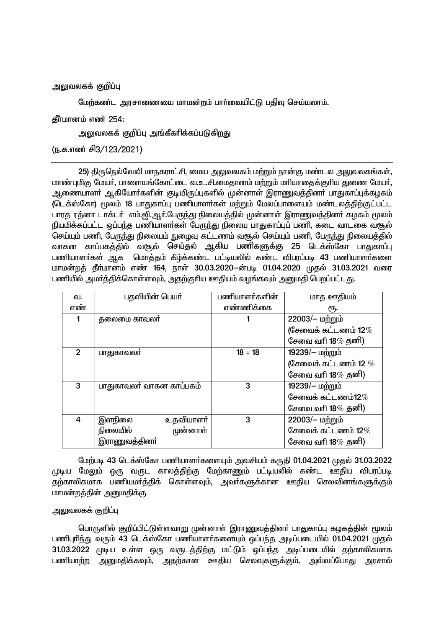# அலுவலகக் குறிப்பு

மேற்கண்ட அாசாணையை மாமன்றம் பார்வையிட்டு பகிவ செய்யலாம்.

தீர்மானம் எண் 254:

அலுவலகக் குறிப்பு அங்கீகரிக்கப்படுகிறது

(ந.க.எண் சி3/123/2021)

25) திருநெல்வேலி மாநகராட்சி, மைய அலுவலகம் மற்றும் நான்கு மண்டல அலுவலகங்கள், மாண்புமிகு மேயர், பாளையங்கோட்டை வ.உ.சி.மைதானம் மற்றும் மரியாதைக்குரிய துணை மேயர், ஆணையாளா் ஆகியோா்களின் குடியிருப்புகளில் முன்னாள் இராணுவத்தினா் பாதுகாப்புக்கழகம் (டெக்ஸ்கோ) மூலம் 18 பாதுகாப்பு பணியாளர்கள் மற்றும் மேலப்பாளையம் மண்டலத்திற்குட்பட்ட பாரத ரத்னா டாக்டர் எம்.ஜி.ஆர்.பேருந்து நிலையத்தில் முன்னாள் இராணுவத்தினர் கழகம் மூலம் நியமிக்கப்பட்ட ஒப்பந்த பணியாளர்கள் பேருந்து நிலைய பாதுகாப்புப் பணி, கடை வாடகை வரூல் செய்யும் பணி, பேருந்து நிலையம் நுழைவு கட்டணம் வசூல் செய்யும் பணி, பேருந்து நிலையத்தில் ்வாகன காப்பகத்தில் வசூல் செய்தல் ஆகிய பணிகளுக்கு 25 டெக்ஸ்கோ பாதுகாப்பு பணியாளர்கள் அ.க. மொக்கம் கீம்க்கண்ட பட்டியலில் கண்ட விபாப்படி 43 பணியாளர்களை மாமன்றத் தீர்மானம் எண் 164, நாள் 30.03.2020–ன்படி 01.04.2020 முதல் 31.03.2021 வரை பணியில் அமர்த்திக்கொள்ளவும், அதற்குரிய ஊதியம் வழங்கவும் அனுமதி பெறப்பட்டது.

| வ.             | பதவியின் பெயர்           | பணியாளர்களின் | மாத ஊதியம்              |
|----------------|--------------------------|---------------|-------------------------|
| எண்            |                          | எண்ணிக்கை     | ιҧ.                     |
|                | தலைமை காவலா              |               | 22003/- மற்றும்         |
|                |                          |               | (சேவைக் கட்டணம் 12 $\%$ |
|                |                          |               | சேவை வரி 18 $\%$ தனி)   |
| $\overline{2}$ | பாதுகாவலா்               | $18 + 18$     | 19239/- மற்றும்         |
|                |                          |               | (சேவைக் கட்டணம் 12 $\%$ |
|                |                          |               | சேவை வரி 18 $\%$ தனி)   |
| 3              | பாதுகாவலர் வாகன காப்பகம் | 3             | 19239/- மற்றும்         |
|                |                          |               | சேவைக் கட்டணம்12 $\%$   |
|                |                          |               | சேவை வரி 18 $\%$ தனி)   |
| 4              | உதவியாளர்<br>இளநிலை      | 3             | 22003/– மற்றும்         |
|                | நிலையில்<br>முன்னாள்     |               | சேவைக் கட்டணம் 12 $\%$  |
|                | இராணுவத்தினா்            |               | சேவை வரி 18 $\%$ தனி)   |

மேற்படி 43 டெக்ஸ்கோ பணியாளர்களையும் அவசியம் கருதி 01.04.2021 முதல் 31.03.2022 ருடிய மேலும் ஒரு வருட காலத்திற்கு மேற்காணும் பட்டியலில் கண்ட ஊகிய விபாப்படி ்தற்காலிகமாக பணியமா்த்திக் கொள்ளவும், அவா்களுக்கான ஊதிய செலவினங்களுக்கும் மாமன்றத்தின் அனுமதிக்கு

# அலுவலகக் குறிப்பு

பொருளில் குறிப்பிட்டுள்ளவாறு முன்னாள் இராணுவத்தினா் பாதுகாப்பு கழகத்தின் மூலம் பணிபுரிந்து வரும் 43 டெக்ஸ்கோ பணியாளர்களையும் ஒப்பந்த அடிப்படையில் 01.04.2021 முதல் 31.03.2022 முடிய உள்ள ஒரு வருடத்திற்கு மட்டும் ஒப்பந்த அடிப்படையில் தற்காலிகமாக பணியாற்ற அனுமதிக்கவும், அதற்கான ஊதிய செலவுகளுக்கும், அவ்வப்போது அரசால்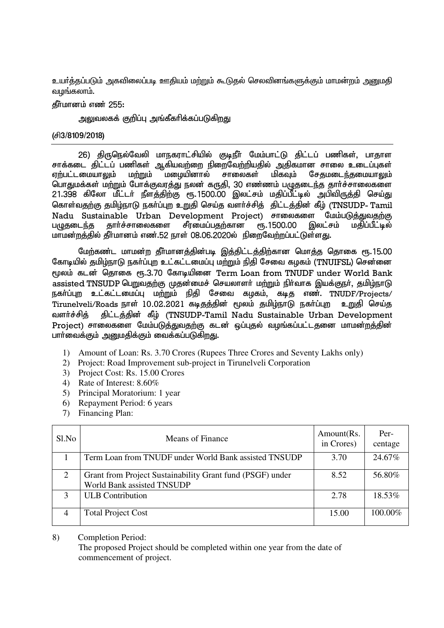<u>உயர்க்கப்படும் அகவிலைப்படி ஊகியம் மற்றும் கூடுகல் செலவினங்களுக்கும் மாமன்றம் அறுமகி</u> வமங்கலாம்.

தீர்மானம் எண் 255:

அலுவலகக் குறிப்பு அங்கீகரிக்கப்படுக<u>ிறத</u>ு

# (Á3/8109/2018)

26) திருநெல்வேலி மாநகராட்சியில் குடிநீர் மேம்பாட்டு திட்டப் பணிகள், பாதாள சாக்கடை திட்டப் பணிகள் ஆகியவற்றை நிறைவேற்றியதில் அதிகமான சாலை உடைப்புகள்<br>ஏற்பட்டமையாலும் மற்றும் மழையினால் சாலைகள் மிகவும் சேதமடைந்தமையாலும் சேதமடைந்தமையாலும் பொதுமக்கள் மற்றும் போக்குவரத்து நலன் கருதி, 30 எண்ணம் பழுதடைந்த தார்ச்சாலைகளை 21.398 கிலோ மீட்டர் நீளத்திற்கு ரூ.1500.00 இலட்சம் மதிப்பீட்டில் அபிவிருத்தி செய்து கொள்வதற்கு தமிழ்நாடு நகர்ப்புற உறுதி செய்த வளர்ச்சித் திட்டத்தின் கீழ் (TNSUDP- Tamil Nadu Sustainable Urban Development Project) சாலைகளை மேம்படுத்துவதற்கு<br>பமுதடைந்த தார்ச்சாலைகளை சீரமைப்பதற்கான ரூ.1500.00 இலட்சம் மதிப்பீட்டில் பமுதடைந்த தார்ச்சாலைகளை சீரமைப்பதற்கான ரூ.1500.00 இலட்சம் மாமன்றத்தில் தீர்மானம் எண்.52 நாள் 08.06.2020ல் நிறைவேற்றப்பட்டுள்ளது.

மேற்கண்ட மாமன்ற தீர்மானத்தின்படி இத்திட்டத்திற்கான மொத்த தொகை ரூ.15.00 கோடியில் தமிழ்நாடு நகர்ப்புற உட்கட்டமைப்பு மற்றும் நிதி சேவை கழகம் (TNUIFSL) சென்னை மூலம் கடன் தொகை ரூ.3.70 கோடியினை Term Loan from TNUDF under World Bank  $\sim$ assisted TNSUDP பெறுவதற்கு முதன்மைச் செயலாளர் மற்றும் நிர்வாக இயக்குநர், தமிழ்நாடு நகர்ப்புற உட்கட்டமைப்பு மற்றும் நிதி சேவை கழகம், கடித எண். TNUDF/Projects/ Tirunelveli/Roads நாள் 10.02.2021 கடிதத்தின் மூலம் தமிழ்நாடு நகர்ப்புற உறுதி செய்த வளர்ச்சித் திட்டத்தின் கீழ் (TNSUDP-Tamil Nadu Sustainable Urban Development Project) சாலைகளை மேம்படுத்துவதற்கு கடன் ஒப்புதல் வழங்கப்பட்டதனை மாமன்றத்தின் பார்வைக்கும் அனுமதிக்கும் வைக்கப்படுகிறது.

- 1) Amount of Loan: Rs. 3.70 Crores (Rupees Three Crores and Seventy Lakhs only)
- 2) Project: Road Improvement sub-project in Tirunelveli Corporation
- 3) Project Cost: Rs. 15.00 Crores
- 4) Rate of Interest: 8.60%
- 5) Principal Moratorium: 1 year
- 6) Repayment Period: 6 years
- 7) Financing Plan:

| Sl.No          | Means of Finance                                                                        | Amount(Rs.<br>in Crores) | Per-<br>centage |
|----------------|-----------------------------------------------------------------------------------------|--------------------------|-----------------|
|                | Term Loan from TNUDF under World Bank assisted TNSUDP                                   | 3.70                     | 24.67%          |
| 2              | Grant from Project Sustainability Grant fund (PSGF) under<br>World Bank assisted TNSUDP | 8.52                     | 56.80%          |
| 3              | <b>ULB</b> Contribution                                                                 | 2.78                     | 18.53%          |
| $\overline{4}$ | <b>Total Project Cost</b>                                                               | 15.00                    | 100.00%         |

8) Completion Period:

The proposed Project should be completed within one year from the date of commencement of project.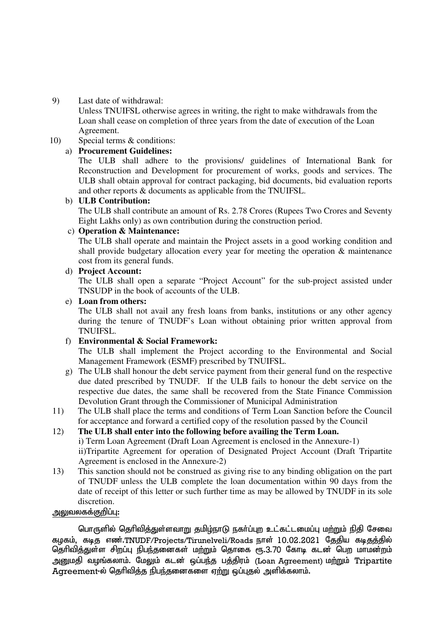# 9) Last date of withdrawal:

Unless TNUIFSL otherwise agrees in writing, the right to make withdrawals from the Loan shall cease on completion of three years from the date of execution of the Loan Agreement.

# 10) Special terms & conditions:

# a) **Procurement Guidelines:**

The ULB shall adhere to the provisions/ guidelines of International Bank for Reconstruction and Development for procurement of works, goods and services. The ULB shall obtain approval for contract packaging, bid documents, bid evaluation reports and other reports & documents as applicable from the TNUIFSL.

# b) **ULB Contribution:**

The ULB shall contribute an amount of Rs. 2.78 Crores (Rupees Two Crores and Seventy Eight Lakhs only) as own contribution during the construction period.

# c) **Operation & Maintenance:**

The ULB shall operate and maintain the Project assets in a good working condition and shall provide budgetary allocation every year for meeting the operation & maintenance cost from its general funds.

# d) **Project Account:**

The ULB shall open a separate "Project Account" for the sub-project assisted under TNSUDP in the book of accounts of the ULB.

# e) **Loan from others:**

The ULB shall not avail any fresh loans from banks, institutions or any other agency during the tenure of TNUDF's Loan without obtaining prior written approval from TNUIFSL.

# f) **Environmental & Social Framework:**

The ULB shall implement the Project according to the Environmental and Social Management Framework (ESMF) prescribed by TNUIFSL.

- g) The ULB shall honour the debt service payment from their general fund on the respective due dated prescribed by TNUDF. If the ULB fails to honour the debt service on the respective due dates, the same shall be recovered from the State Finance Commission Devolution Grant through the Commissioner of Municipal Administration
- 11) The ULB shall place the terms and conditions of Term Loan Sanction before the Council for acceptance and forward a certified copy of the resolution passed by the Council

# 12) **The ULB shall enter into the following before availing the Term Loan.**

i) Term Loan Agreement (Draft Loan Agreement is enclosed in the Annexure-1) ii)Tripartite Agreement for operation of Designated Project Account (Draft Tripartite Agreement is enclosed in the Annexure-2)

13) This sanction should not be construed as giving rise to any binding obligation on the part of TNUDF unless the ULB complete the loan documentation within 90 days from the date of receipt of this letter or such further time as may be allowed by TNUDF in its sole discretion.

# அலுவலகக்குறிப்பு:

<u>பொருளில் தெரிவித்துள்ளவாறு தமிழ்நாடு ந</u>கர்ப்புற உட்கட்டமைப்பு மற்றும் நிதி சேவை கழகம், கடித எண்.TNUDF/Projects/Tirunelveli/Roads நாள் 10.02.2021 தேதிய கடிதத்தில் தெரிவித்துள்ள சிறப்பு நிபந்தனைகள் மற்றும் தொகை ரூ.3.70 கோடி கடன் பெற மாமன்றம் அறையகி வழங்கலாம். மேலும் கடன் ஒப்பந்த பத்திரம் (Loan Agreement) மற்றும் Tripartite  $\overline{A}$ greement-ல் தெரிவித்த நிபந்தனைகளை ஏற்று ஒப்புதல் அளிக்கலாம்.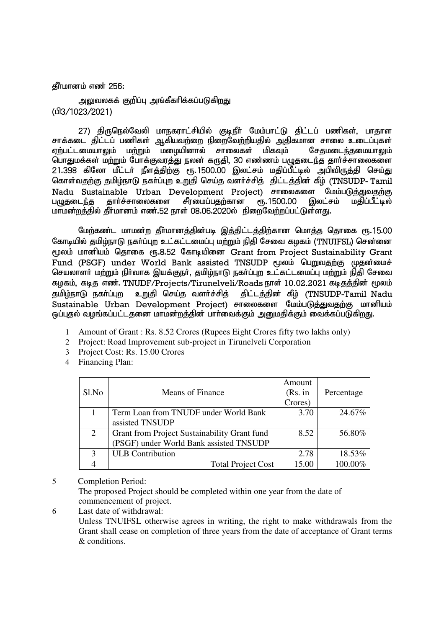$\delta$ ரீமானம் எண் 256:

அலுவலகக் குறிப்பு அங்கீகரிக்கப்படுக<u>ிறத</u>ு (gp3/1023/2021)

27) திருநெல்வேலி மாநகராட்சியில் குடிநீர் மேம்பாட்டு திட்டப் பணிகள், பாதாள சாக்கடை திட்டப் பணிகள் ஆகியவற்றை நிறைவேற்றியதில் அதிகமான சாலை உடைப்புகள்<br>எற்பட்டமையாலும் மற்றும் மழையினால் சாலைகள் மிகவும் சேசுமடைந்தமையாலும் எற்பட்டமையாலும் மற்றும் மழையினால் சாலைகள் மிகவும் பொதுமக்கள் மற்றும் போக்குவரத்து நலன் கருதி, 30 எண்ணம் பழுதடைந்த தார்ச்சாலைகளை 21.398 கிலோ மீட்டர் நீளத்திற்கு ரூ.1500.00 இலட்சம் மதிப்பீட்டில் அபிவிருத்தி செய்து கொள்வதற்கு தமிழ்நாடு நகர்ப்புற உறுதி செய்த வளர்ச்சித் திட்டத்தின் கீழ் (TNSUDP- Tamil Nadu Sustainable Urban Development Project) சாலைகளை மேம்படுத்துவதற்கு<br>பழுதடைந்த தார்ச்சாலைகளை சீரமைப்பதற்கான ரூ.1500.00 இலட்சம் மதிப்பீட்டில் பமுதடைந்த தார்ச்சாலைகளை மாமன்றத்தில் தீர்மானம் எண்.52 நாள் 08.06.2020ல் நிறைவேற்றப்பட்டுள்ளது.

மேற்கண்ட மாமன்ற தீர்மானத்தின்படி இத்திட்டத்திற்கான மொத்த தொகை ரூ.15.00 கோடியில் தமிழ்நாடு நகர்ப்புற உட்கட்டமைப்பு மற்றும் நிதி சேவை கழகம் (TNUIFSL) சென்னை மூலம் மானியம் தொகை ரூ.8.52 கோடியினை Grant from Project Sustainability Grant Fund (PSGF) under World Bank assisted TNSUDP மூலம் பெறுவதற்கு முதன்மைச் செயலாளா் மற்றும் நிா்வாக இயக்குநா், தமிழ்நாடு நகா்ப்புற உட்கட்டமைப்பு மற்றும் நிதி சேவை கழகம், கடித எண். TNUDF/Projects/Tirunelveli/Roads நாள் 10.02.2021 கடிதத்தின் மூலம் தமிழ்நாடு நகர்ப்புற உறுதி செய்த வளர்ச்சித் திட்டத்தின் கீழ் (TNSUDP-Tamil Nadu Sustainable Urban Development Project) சாலைகளை மேம்படுத்துவதற்கு மானியம் <u>ஒப்புத</u>ல் வழங்கப்பட்டதனை மாமன்றத்தின் பார்வைக்கும் அனுமதிக்கும் வைக்கப்படுகிறது.

- 1 Amount of Grant : Rs. 8.52 Crores (Rupees Eight Crores fifty two lakhs only)
- 2 Project: Road Improvement sub-project in Tirunelveli Corporation
- 3 Project Cost: Rs. 15.00 Crores
- 4 Financing Plan:

|       |                                              | Amount  |            |
|-------|----------------------------------------------|---------|------------|
| Sl.No | <b>Means of Finance</b>                      | (Rs. in | Percentage |
|       |                                              | Crores) |            |
|       | Term Loan from TNUDF under World Bank        | 3.70    | 24.67%     |
|       | assisted TNSUDP                              |         |            |
| 2     | Grant from Project Sustainability Grant fund | 8.52    | 56.80%     |
|       | (PSGF) under World Bank assisted TNSUDP      |         |            |
|       | <b>ULB</b> Contribution                      | 2.78    | 18.53%     |
|       | <b>Total Project Cost</b>                    | 15.00   | 100.00%    |

# 5 Completion Period:

The proposed Project should be completed within one year from the date of commencement of project.

6 Last date of withdrawal:

Unless TNUIFSL otherwise agrees in writing, the right to make withdrawals from the Grant shall cease on completion of three years from the date of acceptance of Grant terms & conditions.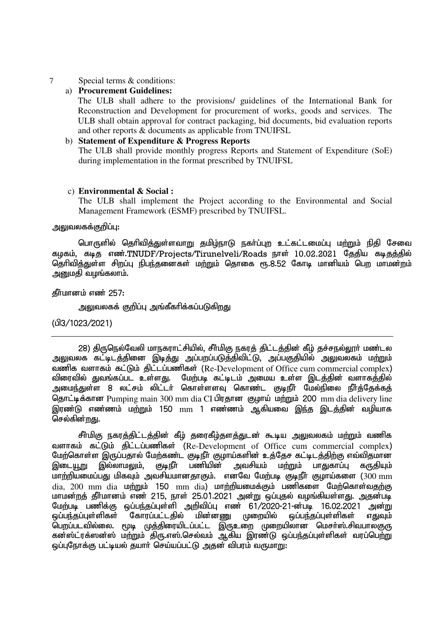# 7 Special terms & conditions:

# a) **Procurement Guidelines:**

The ULB shall adhere to the provisions/ guidelines of the International Bank for Reconstruction and Development for procurement of works, goods and services. The ULB shall obtain approval for contract packaging, bid documents, bid evaluation reports and other reports & documents as applicable from TNUIFSL

# b) **Statement of Expenditure & Progress Reports**

The ULB shall provide monthly progress Reports and Statement of Expenditure (SoE) during implementation in the format prescribed by TNUIFSL

# c) **Environmental & Social :**

The ULB shall implement the Project according to the Environmental and Social Management Framework (ESMF) prescribed by TNUIFSL.

# அலுவலகக்குறிப்பு:

பொருளில் தெரிவித்துள்ளவாறு தமிம்நாடு நகர்ப்புற உட்கட்டமைப்பு மற்றும் நிதி சேவை கமகம். கடிக எண்.TNUDF/Projects/Tirunelveli/Roads நாள் 10.02.2021 கேகிய கடிகக்கில் தெரிவித்துள்ள சிறப்பு நிபந்தனைகள் மற்றும் தொகை ரூ.8.52 கோடி மானியம் பெற மாமன்றம் அறுமதி வழங்கலாம்.

# தீர்மானம் எண் 257:

<u>அலு</u>வலகக் குறிப்பு அங்கீகரிக்கப்படுகிறது

# (⊔<sup>3</sup>/1023) (⊔93

28) திருநெல்வேலி மாநகராட்சியில், சீர்மிகு நகரத் திட்டத்தின் கீழ் தச்சநல்லூர் மண்டல அலுவலக கட்டிடத்தினை இடித்து அப்பறப்படுத்திவிட்டு, அப்பகுதியில் அலுவலகம் ம<u>ற்று</u>ம் வணிக வளாகம் கட்டும் கிட்டப்பணிகள் (Re-Development of Office cum commercial complex) விரைவில் துவங்கப்பட உள்ளது. மேற்படி கட்டிடம் அமைய உள்ள இடத்தின் வளாகத்தில் அமைந்துள்ள 8 லட்சம் லிட்டர் கொள்ளளவு கொண்ட குடிநீர் மேல்நிலை நீர்த்தேக்கத் ரொட்டிக்கான Pumping main 300 mm dia CI பிரதான குழாய் மற்றும் 200 mm dia delivery line இரண்டு எண்ணம் மற்றும் 150 mm 1 எண்ணம் ஆகியவை இந்த இடத்தின் வழியாக செல்கின்றது.

சீர்மிகு நகரத்திட்டத்தின் கீழ் தரைகீழ்தளத்துடன் கூடிய அலுவலகம் மற்றும் வணிக வளாகம் கட்டும் கிட்டப்பணிகள் (Re-Development of Office cum commercial complex) மேற்கொள்ள இருப்பதால் மேற்கண்ட குடிநீா் குழாய்களின் உத்தேச கட்டிடத்திற்கு எவ்விதமான<br>இடையூறு இல்லாமலும், குடிநீா பணியின் அவசியம் மற்றும் பாதுகாப்பு கருதியும் இடையூறு இல்லாமலும், குடிநீா் பணியின் அவசியம் மற்றும் பாதுகாப்பு கருதியும் மாற்றியமைப்பது மிகவும் அவசியமானதாகும். எனவே மேற்படி குடிநீர் குழாய்களை ( $300 \text{ mm}$ dia,  $200$  mm dia  $\omega$ ற்றும் 150 mm dia) மாற்றியமைக்கும் பணிகளை மேற்கொள்வதற்கு மாமன்றத் தீர்மானம் எண் 215. நாள் 25.01.2021 அன்று ஒப்புகல் வழங்கியள்ளது. அகுன்படி மேற்படி பணிக்கு ஒப்பந்தப்புள்ளி அறிவிப்பு எண் 61/2020-21-ன்படி 16.02.2021 அன்று<br>ஒப்பந்தப்புள்ளிகள் கோரப்பட்டதில் மின்னணு முறையில் ஒப்பந்தப்புள்ளிகள் எதுவும் <u>ஒப்பந்த</u>ப்புள்ளிகள் எதுவும் பெறப்படவில்லை. மூடி முத்திரையிடப்பட்ட இருஉறை முறையிலான மெசா்ஸ்.சிவபாலகுரு கன்ஸ்ட்ரக்ஸன்ஸ் மற்றும் திரு.எஸ்.செல்வம் ஆகிய இரண்டு ஒப்பந்தப்புள்ளிகள் வரப்பெற்று <u>ஒப்புநோக்கு பட்டியல் த</u>யார் செய்யப்பட்டு அதன் விபரம் வருமாறு: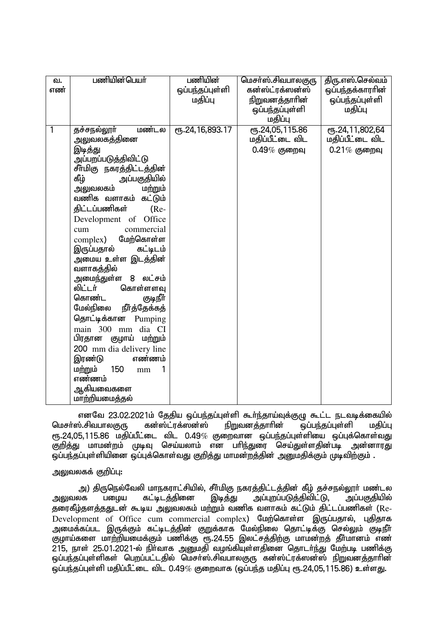| வ.  | பணியின்பெயர்                       | பணியின்              | மெசா்ஸ்.சிவபாலகுரு    | திரு.எஸ்.செல்வம் |
|-----|------------------------------------|----------------------|-----------------------|------------------|
| எண் |                                    | ஒப்பந்தப்புள்ளி      | கன்ஸ்ட்ரக்ஸன்ஸ்       | ஒப்பந்தக்காரரின் |
|     |                                    | மதிப்பு              | <u>நிறுவனத்தாரின்</u> | ஒப்பந்தப்புள்ளி  |
|     |                                    |                      | ஒப்பந்தப்புள்ளி       | மதிப்பு          |
|     |                                    |                      | மதிப்பு               |                  |
| 1   | மண்டல<br>தச்சநல்லூர்               | СПБ. 24, 16, 893. 17 | ரு.24,05,115.86       | ரூ.24,11,802,64  |
|     | அலுவலகத்தினை                       |                      | மதிப்பீட்டை விட       | மதிப்பீட்டை விட  |
|     | இடித்து                            |                      | $0.49\%$ குறைவு       | $0.21\%$ குறைவு  |
|     | அப்பறப்படுத்திவிட்ட <mark>ு</mark> |                      |                       |                  |
|     | சீா்மிகு நகரத்திட்டத்தின்          |                      |                       |                  |
|     | கீழ்<br>அப்பகுதியில்               |                      |                       |                  |
|     | அலுவலகம்<br>மற்றும்                |                      |                       |                  |
|     | வணிக வளாகம் கட்டும்                |                      |                       |                  |
|     | திட்டப்பணிகள்<br>$(Re-$            |                      |                       |                  |
|     | Development of Office              |                      |                       |                  |
|     | commercial<br>cum                  |                      |                       |                  |
|     | complex) மேற்கொள்ள                 |                      |                       |                  |
|     | இருப்பதால்<br>கட்டிடம்             |                      |                       |                  |
|     | அமைய உள்ள இடத்தின்                 |                      |                       |                  |
|     | வளாகத்தில்                         |                      |                       |                  |
|     | 8 லட்சம்<br>அமைந்துள்ள             |                      |                       |                  |
|     | லிட்டர்<br>கொள்ளளவு                |                      |                       |                  |
|     | கொண்ட<br>குடிநீர்                  |                      |                       |                  |
|     | ௺௺௹௲௧ஂ௧௲<br>மேல்நிலை               |                      |                       |                  |
|     | தொட்டிக்கான<br>Pumping             |                      |                       |                  |
|     | main 300 mm dia CI                 |                      |                       |                  |
|     | பிரதான<br>குழாய் மற்றும்           |                      |                       |                  |
|     | 200 mm dia delivery line           |                      |                       |                  |
|     | இரண்டு<br>எண்ணம்                   |                      |                       |                  |
|     | மற்றும்<br>150<br>1<br>mm          |                      |                       |                  |
|     | எண்ணம்                             |                      |                       |                  |
|     | ஆகியவைகளை                          |                      |                       |                  |
|     | மாற்றியமைத்தல்                     |                      |                       |                  |

எனவே 23.02.2021ம் தேதிய ஒப்பந்தப்புள்ளி கூா்ந்தாய்வுக்குழு கூட்ட நடவடிக்கையில்<br>ல்.சிவபாலகுரு கன்ஸ்ட்ரக்ஸன்ஸ் நிறுவனத்தாாின் ஒப்பந்தப்புள்ளி மதிப்பு மெசா்ஸ்.சிவபாலகுரு கன்ஸ்ட்ரக்ஸன்ஸ் நிறுவனத்தாாின் ஒப்பந்தப்புள்ளி மதிப்பு  $e$ ரு.24,05,115.86 மதிப்பீட்டை விட 0.49% குறைவான ஒப்பந்தப்புள்ளியை ஒப்புக்கொள்வது குறித்து மாமன்றம் முடிவு செய்யலாம் என பரிந்துரை செய்துள்ளதின்படி அன்னாரது ஒப்பந்தப்புள்ளியினை ஒப்புக்கொள்வது குறித்து மாமன்றத்தின் அனுமதிக்கும் முடிவிற்கும் .

## அலுவலகக் குறிப்பு:

அ) திருநெல்வேலி மாநகராட்சியில், சீா்மிகு நகரத்திட்டத்தின் கீழ் தச்சநல்லூா் மண்டல<br>லக பழைய கட்டிடத்தினை இடித்து அப்புறப்படுத்திவிட்டு, அப்பகுதியில் அலுவலக பழைய கட்டிடத்தினை இடித்து அப்புறப்படுத்திவிட்டு, தரைகீழ்தளத்ததுடன் கூடிய அலுவலகம் மற்றும் வணிக வளாகம் கட்டும் திட்டப்பணிகள் (Re-Development of Office cum commercial complex) மேற்கொள்ள இருப்பதால், புதிதாக அமைக்கப்பட இருக்கும் கட்டிடத்தின் குறுக்காக மேல்நிலை தொட்டிக்கு செல்லும் குடிநீா் குழாய்களை மாற்றியமைக்கும் பணிக்கு ரூ.24.55 இலட்சத்திற்கு மாமன்றத் தீா்மானம் எண்  $215$ , நாள் 25.01.2021-ல் நிர்வாக அனுமதி வழங்கியுள்ளதினை தொடர்ந்து மேற்படி பணிக்கு ஒப்பந்தப்புள்ளிகள் பெறப்பட்டதில் மெசா்ஸ்.சிவபாலகுரு கன்ஸ்ட்ரக்ஸன்ஸ் நிறுவனத்தாாின் ஒப்பந்தப்புள்ளி மதிப்பீட்டை விட 0.49% குறைவாக (ஒப்பந்த மதிப்பு ரூ.24,05,115.86) உள்ளது.